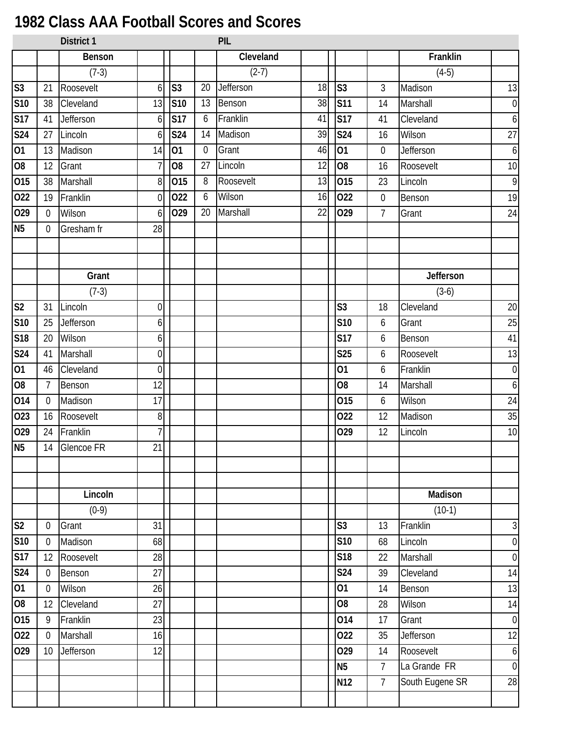## **1982 Class AAA Football Scores and Scores**

| 13                    |
|-----------------------|
| $\mathbf 0$           |
| $\ddot{\mathbf{6}}$   |
| 27                    |
| $\ddot{\mathbf{6}}$   |
| 10                    |
| $\mathbf{9}$          |
| 19                    |
| 24                    |
|                       |
|                       |
|                       |
| Jefferson             |
|                       |
| 20                    |
| 25                    |
| 41                    |
| 13                    |
| $\mathbf 0$           |
| $\ddot{\mathbf{6}}$   |
| 24                    |
| 35                    |
| 10                    |
|                       |
|                       |
|                       |
|                       |
|                       |
| $\sqrt{3}$            |
| $\boldsymbol{0}$      |
| $\boldsymbol{0}$      |
| 14                    |
| 13                    |
| 14                    |
| $\boldsymbol{0}$      |
| 12                    |
| $\boldsymbol{6}$      |
| $\overline{0}$        |
| South Eugene SR<br>28 |
|                       |
| Madison               |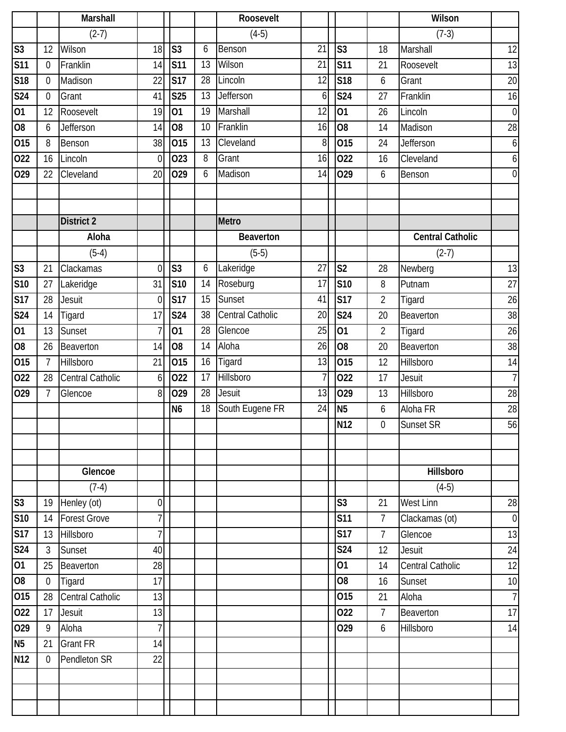|                        |                | Marshall                |                |                   |    | Roosevelt        |                 |                 |                | Wilson                  |                  |
|------------------------|----------------|-------------------------|----------------|-------------------|----|------------------|-----------------|-----------------|----------------|-------------------------|------------------|
|                        |                | $(2-7)$                 |                |                   |    | $(4-5)$          |                 |                 |                | $(7-3)$                 |                  |
| $\overline{\text{S}3}$ | 12             | Wilson                  | 18             | S <sub>3</sub>    | 6  | Benson           | $\overline{21}$ | S <sub>3</sub>  | 18             | Marshall                | 12               |
| S <sub>11</sub>        | $\theta$       | Franklin                | 14             | <b>S11</b>        | 13 | Wilson           | 21              | <b>S11</b>      | 21             | Roosevelt               | 13               |
| S <sub>18</sub>        | $\theta$       | Madison                 | 22             | <b>S17</b>        | 28 | Lincoln          | 12              | <b>S18</b>      | 6              | Grant                   | 20               |
| <b>S24</b>             | $\theta$       | Grant                   | 41             | <b>S25</b>        | 13 | Jefferson        | 6               | <b>S24</b>      | 27             | Franklin                | 16               |
| 01                     | 12             | Roosevelt               | 19             | 01                | 19 | Marshall         | 12              | 01              | 26             | Lincoln                 | $\overline{0}$   |
| 08                     | 6              | Jefferson               | 14             | O <sub>8</sub>    | 10 | Franklin         | 16              | $\overline{60}$ | 14             | Madison                 | 28               |
| 015                    | 8              | Benson                  | 38             | $\overline{0}$ 15 | 13 | Cleveland        | 8               | 015             | 24             | Jefferson               | $6 \overline{6}$ |
| 022                    | 16             | Lincoln                 | $\theta$       | 023               | 8  | Grant            | 16              | 022             | 16             | Cleveland               | $\boldsymbol{6}$ |
| 029                    | 22             | Cleveland               | 20             | 029               | 6  | Madison          | 14              | 029             | 6              | Benson                  | $\overline{0}$   |
|                        |                |                         |                |                   |    |                  |                 |                 |                |                         |                  |
|                        |                |                         |                |                   |    |                  |                 |                 |                |                         |                  |
|                        |                | <b>District 2</b>       |                |                   |    | Metro            |                 |                 |                |                         |                  |
|                        |                | Aloha                   |                |                   |    | <b>Beaverton</b> |                 |                 |                | <b>Central Catholic</b> |                  |
|                        |                | $(5-4)$                 |                |                   |    | $(5-5)$          |                 |                 |                | $(2-7)$                 |                  |
| $\overline{\text{S}3}$ | 21             | Clackamas               | $\overline{0}$ | S <sub>3</sub>    | 6  | Lakeridge        | 27              | S <sub>2</sub>  | 28             | Newberg                 | 13               |
| <b>S10</b>             | 27             | Lakeridge               | 31             | <b>S10</b>        | 14 | Roseburg         | 17              | S10             | 8              | Putnam                  | $\overline{27}$  |
| <b>S17</b>             | 28             | Jesuit                  | $\overline{0}$ | <b>S17</b>        | 15 | Sunset           | 41              | <b>S17</b>      | $\overline{2}$ | Tigard                  | 26               |
| <b>S24</b>             | 14             | Tigard                  | 17             | <b>S24</b>        | 38 | Central Catholic | 20              | S24             | 20             | Beaverton               | 38               |
| $\overline{01}$        | 13             | Sunset                  | 7              | 01                | 28 | Glencoe          | $\overline{25}$ | 01              | $\overline{2}$ | Tigard                  | 26               |
| 08                     | 26             | Beaverton               | 14             | O <sub>8</sub>    | 14 | Aloha            | 26              | O <sub>8</sub>  | 20             | Beaverton               | 38               |
| 015                    | $\overline{7}$ | Hillsboro               | 21             | 015               | 16 | Tigard           | 13              | 015             | 12             | Hillsboro               | 14               |
| 022                    | 28             | Central Catholic        | 6              | 022               | 17 | <b>Hillsboro</b> | 7               | 022             | 17             | <b>Jesuit</b>           | $\overline{7}$   |
| 029                    | $\overline{7}$ | Glencoe                 | 8              | 029               | 28 | Jesuit           | 13              | 029             | 13             | Hillsboro               | 28               |
|                        |                |                         |                | N <sub>6</sub>    | 18 | South Eugene FR  | 24              | N <sub>5</sub>  | 6              | Aloha FR                | 28               |
|                        |                |                         |                |                   |    |                  |                 | <b>N12</b>      | 0              | Sunset SR               | 56               |
|                        |                |                         |                |                   |    |                  |                 |                 |                |                         |                  |
|                        |                |                         |                |                   |    |                  |                 |                 |                |                         |                  |
|                        |                | Glencoe                 |                |                   |    |                  |                 |                 |                | Hillsboro               |                  |
|                        |                | $(7-4)$                 |                |                   |    |                  |                 |                 |                | $(4-5)$                 |                  |
| S <sub>3</sub>         | 19             | Henley (ot)             | $\overline{0}$ |                   |    |                  |                 | S <sub>3</sub>  | 21             | West Linn               | 28               |
| <b>S10</b>             | 14             | <b>Forest Grove</b>     | 7              |                   |    |                  |                 | <b>S11</b>      | $7^{\circ}$    | Clackamas (ot)          | $\overline{0}$   |
| <b>S17</b>             | 13             | Hillsboro               | 7              |                   |    |                  |                 | <b>S17</b>      | $\overline{7}$ | Glencoe                 | 13               |
| <b>S24</b>             | $\mathfrak{Z}$ | Sunset                  | 40             |                   |    |                  |                 | S24             | 12             | Jesuit                  | 24               |
| $\overline{01}$        | 25             | Beaverton               | 28             |                   |    |                  |                 | 01              | 14             | Central Catholic        | 12               |
| $\overline{08}$        | $\mathbf 0$    | Tigard                  | 17             |                   |    |                  |                 | 08              | 16             | Sunset                  | 10               |
| 015                    | 28             | <b>Central Catholic</b> | 13             |                   |    |                  |                 | 015             | 21             | Aloha                   | $\overline{7}$   |
| 022                    | 17             | Jesuit                  | 13             |                   |    |                  |                 | 022             | $\overline{7}$ | Beaverton               | 17               |
| 029                    | 9              | Aloha                   | 7              |                   |    |                  |                 | 029             | 6              | Hillsboro               | 14               |
| N <sub>5</sub>         | 21             | <b>Grant FR</b>         | 14             |                   |    |                  |                 |                 |                |                         |                  |
| $\overline{N}$ 12      | $\Omega$       | Pendleton SR            | 22             |                   |    |                  |                 |                 |                |                         |                  |
|                        |                |                         |                |                   |    |                  |                 |                 |                |                         |                  |
|                        |                |                         |                |                   |    |                  |                 |                 |                |                         |                  |
|                        |                |                         |                |                   |    |                  |                 |                 |                |                         |                  |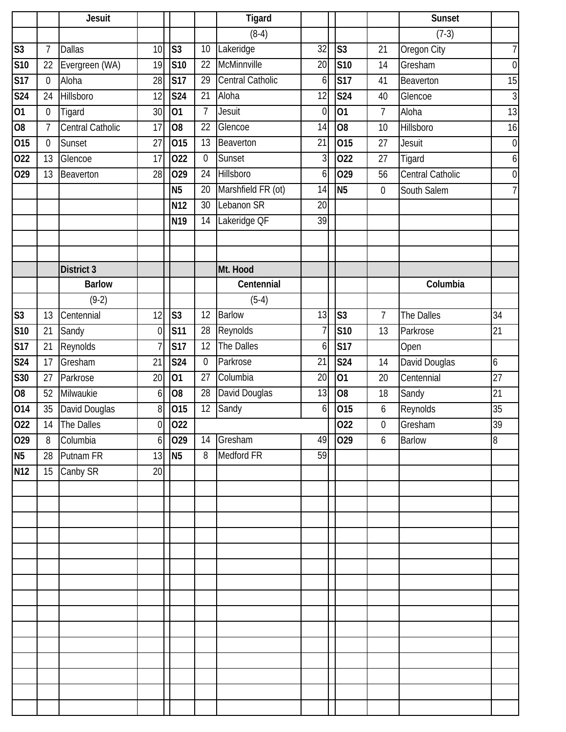|                 |                | <b>Jesuit</b>     |                |                 |                | <b>Tigard</b>      |                 |                |                  | <b>Sunset</b>           |                  |
|-----------------|----------------|-------------------|----------------|-----------------|----------------|--------------------|-----------------|----------------|------------------|-------------------------|------------------|
|                 |                |                   |                |                 |                | $(8-4)$            |                 |                |                  | $(7-3)$                 |                  |
| S <sub>3</sub>  | $\overline{7}$ | <b>Dallas</b>     | 10             | S <sub>3</sub>  | 10             | Lakeridge          | $\overline{32}$ | S <sub>3</sub> | 21               | Oregon City             | $\overline{7}$   |
| <b>S10</b>      | 22             | Evergreen (WA)    | 19             | <b>S10</b>      | 22             | McMinnville        | 20              | S10            | 14               | Gresham                 | $\mathbf 0$      |
| <b>S17</b>      | $\overline{0}$ | Aloha             | 28             | <b>S17</b>      | 29             | Central Catholic   | 6               | <b>S17</b>     | 41               | Beaverton               | 15               |
| <b>S24</b>      | 24             | Hillsboro         | 12             | <b>S24</b>      | 21             | Aloha              | 12              | <b>S24</b>     | 40               | Glencoe                 | $\overline{3}$   |
| 01              | $\mathbf 0$    | Tigard            | 30             | 01              | $\overline{7}$ | Jesuit             | $\overline{0}$  | 01             | $\overline{7}$   | Aloha                   | 13               |
| O <sub>8</sub>  | 7              | Central Catholic  | 17             | O <sub>8</sub>  | 22             | Glencoe            | 14              | 80             | 10               | Hillsboro               | 16               |
| 015             | $\theta$       | Sunset            | 27             | 015             | 13             | Beaverton          | 21              | 015            | 27               | Jesuit                  | $\boldsymbol{0}$ |
| 022             | 13             | Glencoe           | 17             | 022             | $\mathbf 0$    | Sunset             | $\overline{3}$  | 022            | 27               | Tigard                  | $\boldsymbol{6}$ |
| 029             | 13             | Beaverton         | 28             | 029             | 24             | Hillsboro          | 6               | 029            | 56               | <b>Central Catholic</b> | $\mathbf 0$      |
|                 |                |                   |                | N <sub>5</sub>  | 20             | Marshfield FR (ot) | 14              | N <sub>5</sub> | $\boldsymbol{0}$ | South Salem             | $\overline{7}$   |
|                 |                |                   |                | N12             | 30             | Lebanon SR         | 20              |                |                  |                         |                  |
|                 |                |                   |                | N <sub>19</sub> | 14             | Lakeridge QF       | $\overline{39}$ |                |                  |                         |                  |
|                 |                |                   |                |                 |                |                    |                 |                |                  |                         |                  |
|                 |                |                   |                |                 |                |                    |                 |                |                  |                         |                  |
|                 |                | <b>District 3</b> |                |                 |                | Mt. Hood           |                 |                |                  |                         |                  |
|                 |                | <b>Barlow</b>     |                |                 |                | Centennial         |                 |                |                  | Columbia                |                  |
|                 |                | $(9-2)$           |                |                 |                | $(5-4)$            |                 |                |                  |                         |                  |
| S <sub>3</sub>  | 13             | Centennial        | 12             | S <sub>3</sub>  | 12             | <b>Barlow</b>      | 13              | S <sub>3</sub> | $\overline{7}$   | The Dalles              | 34               |
| <b>S10</b>      | 21             | Sandy             | $\overline{0}$ | <b>S11</b>      | 28             | Reynolds           | 7               | S10            | 13               | Parkrose                | 21               |
| <b>S17</b>      | 21             | Reynolds          |                | <b>S17</b>      | 12             | The Dalles         | 6               | S17            |                  | Open                    |                  |
| <b>S24</b>      | 17             | Gresham           | 21             | <b>S24</b>      | $\mathbf 0$    | Parkrose           | 21              | <b>S24</b>     | 14               | David Douglas           | 6                |
| S30             | 27             | Parkrose          | 20             | 01              | 27             | Columbia           | 20              | 01             | 20               | Centennial              | 27               |
| O <sub>8</sub>  | 52             | Milwaukie         | 6              | O <sub>8</sub>  | 28             | David Douglas      | 13              | O <sub>8</sub> | 18               | Sandy                   | 21               |
| 014             | 35             | David Douglas     | 8              | 015             | 12             | Sandy              | 6               | 015            | 6                | Reynolds                | 35               |
| 022             | 14             | The Dalles        |                | $0$ 022         |                |                    |                 | 022            | $\boldsymbol{0}$ | Gresham                 | 39               |
| 029             | 8              | Columbia          | 6 <sup>1</sup> | 029             | 14             | Gresham            | 49              | 029            | 6                | <b>Barlow</b>           | 8                |
| <b>N5</b>       | 28             | Putnam FR         | 13             | N <sub>5</sub>  | 8              | Medford FR         | 59              |                |                  |                         |                  |
| N <sub>12</sub> | 15             | Canby SR          | 20             |                 |                |                    |                 |                |                  |                         |                  |
|                 |                |                   |                |                 |                |                    |                 |                |                  |                         |                  |
|                 |                |                   |                |                 |                |                    |                 |                |                  |                         |                  |
|                 |                |                   |                |                 |                |                    |                 |                |                  |                         |                  |
|                 |                |                   |                |                 |                |                    |                 |                |                  |                         |                  |
|                 |                |                   |                |                 |                |                    |                 |                |                  |                         |                  |
|                 |                |                   |                |                 |                |                    |                 |                |                  |                         |                  |
|                 |                |                   |                |                 |                |                    |                 |                |                  |                         |                  |
|                 |                |                   |                |                 |                |                    |                 |                |                  |                         |                  |
|                 |                |                   |                |                 |                |                    |                 |                |                  |                         |                  |
|                 |                |                   |                |                 |                |                    |                 |                |                  |                         |                  |
|                 |                |                   |                |                 |                |                    |                 |                |                  |                         |                  |
|                 |                |                   |                |                 |                |                    |                 |                |                  |                         |                  |
|                 |                |                   |                |                 |                |                    |                 |                |                  |                         |                  |
|                 |                |                   |                |                 |                |                    |                 |                |                  |                         |                  |
|                 |                |                   |                |                 |                |                    |                 |                |                  |                         |                  |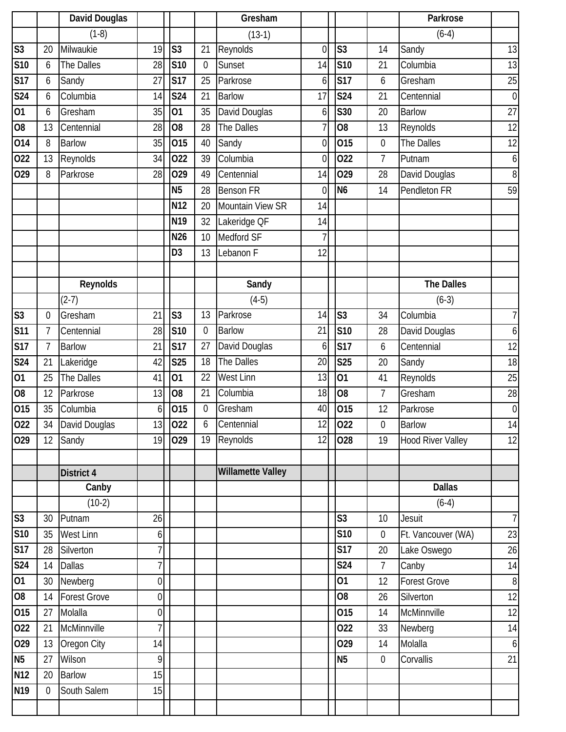|                          |                | David Douglas              |                |                   |              | Gresham                  |                 |                   |                       | Parkrose                 |                  |
|--------------------------|----------------|----------------------------|----------------|-------------------|--------------|--------------------------|-----------------|-------------------|-----------------------|--------------------------|------------------|
|                          |                | $(1-8)$                    |                |                   |              | $(13-1)$                 |                 |                   |                       | $(6-4)$                  |                  |
| $\overline{\text{S3}}$   | 20             | Milwaukie                  | 19             | S <sub>3</sub>    | 21           | Reynolds                 | $\overline{0}$  | S <sub>3</sub>    | 14                    | Sandy                    | 13               |
| S10                      | 6              | The Dalles                 | 28             | <b>S10</b>        | $\mathbf{0}$ | Sunset                   | 14              | S10               | 21                    | Columbia                 | 13               |
| <b>S17</b>               | 6              | Sandy                      | 27             | <b>S17</b>        | 25           | Parkrose                 | 6               | <b>S17</b>        | 6                     | Gresham                  | 25               |
| <b>S24</b>               | 6              | Columbia                   | 14             | <b>S24</b>        | 21           | <b>Barlow</b>            | 17              | <b>S24</b>        | 21                    | Centennial               | $\boldsymbol{0}$ |
| $\overline{01}$          | 6              | Gresham                    | 35             | 01                | 35           | David Douglas            | 6               | S30               | 20                    | <b>Barlow</b>            | $\overline{27}$  |
| $\overline{08}$          | 13             | Centennial                 | 28             | O <sub>8</sub>    | 28           | The Dalles               | 7               | O <sub>8</sub>    | 13                    | Reynolds                 | 12               |
| 014                      | 8              | <b>Barlow</b>              | 35             | 015               | 40           | Sandy                    | $\overline{0}$  | 015               | $\boldsymbol{0}$      | The Dalles               | 12               |
| 022                      | 13             | Reynolds                   | 34             | 022               | 39           | Columbia                 | $\overline{0}$  | 022               | $\overline{7}$        | Putnam                   | $\boldsymbol{6}$ |
| 029                      | 8              | Parkrose                   | 28             | 029               | 49           | Centennial               | 14              | 029               | 28                    | David Douglas            | $\, 8$           |
|                          |                |                            |                | N <sub>5</sub>    | 28           | <b>Benson FR</b>         | 0               | N <sub>6</sub>    | 14                    | Pendleton FR             | 59               |
|                          |                |                            |                | N <sub>12</sub>   | 20           | Mountain View SR         | 14              |                   |                       |                          |                  |
|                          |                |                            |                | $\overline{N}$ 19 | 32           | Lakeridge QF             | 14              |                   |                       |                          |                  |
|                          |                |                            |                | N26               | 10           | Medford SF               | 7               |                   |                       |                          |                  |
|                          |                |                            |                | D <sub>3</sub>    | 13           | Lebanon F                | 12              |                   |                       |                          |                  |
|                          |                |                            |                |                   |              |                          |                 |                   |                       |                          |                  |
|                          |                | Reynolds                   |                |                   |              | Sandy                    |                 |                   |                       | <b>The Dalles</b>        |                  |
|                          |                | $(2-7)$                    |                |                   |              | $(4-5)$                  |                 |                   |                       | $(6-3)$                  |                  |
| $\overline{\text{S}3}$   | $\mathbf 0$    | Gresham                    | 21             | S <sub>3</sub>    | 13           | Parkrose                 | 14              | S <sub>3</sub>    | 34                    | Columbia                 | $\overline{7}$   |
| S <sub>11</sub>          | $\overline{7}$ | Centennial                 | 28             | S10               | $\mathbf{0}$ | <b>Barlow</b>            | 21              | S10               | 28                    | David Douglas            | $\boldsymbol{6}$ |
| <b>S17</b>               | $\overline{7}$ | <b>Barlow</b>              | 21             | <b>S17</b>        | 27           | David Douglas            | 6               | <b>S17</b>        | 6                     | Centennial               | 12               |
| <b>S24</b>               | 21             | Lakeridge                  | 42             | <b>S25</b>        | 18           | The Dalles               | 20              | <b>S25</b>        | 20                    | Sandy                    | 18               |
| 01                       | 25             | The Dalles                 | 41             | 01                | 22           | <b>West Linn</b>         | $\overline{13}$ | 01                | 41                    | Reynolds                 | 25               |
| $\overline{08}$          | 12             | Parkrose                   | 13             | O <sub>8</sub>    | 21           | Columbia                 | 18              | O <sub>8</sub>    | $\overline{7}$        | Gresham                  | 28               |
| 015                      | 35             | Columbia                   | 6              | 015               | $\mathbf 0$  | Gresham                  | 40              | 015               | 12                    | Parkrose                 | $\overline{0}$   |
| 022                      | 34             | David Douglas              | 13             | 022               | 6            | Centennial               | 12              | 022               | $\mathbf 0$           | Barlow                   | 14               |
| 029                      | 12             | Sandy                      | 19             | 029               | 19           | Reynolds                 | 12              | 028               | 19                    | <b>Hood River Valley</b> | 12               |
|                          |                |                            |                |                   |              |                          |                 |                   |                       |                          |                  |
|                          |                | District 4                 |                |                   |              | <b>Willamette Valley</b> |                 |                   |                       |                          |                  |
|                          |                | Canby                      |                |                   |              |                          |                 |                   |                       | <b>Dallas</b>            |                  |
|                          |                | $(10-2)$                   |                |                   |              |                          |                 |                   |                       | $(6-4)$                  |                  |
| S3                       | 30             | Putnam                     | 26             |                   |              |                          |                 | S <sub>3</sub>    | 10                    | Jesuit                   | 7 <sup>1</sup>   |
| $\overline{S}$ 10<br>S17 | 35             | <b>West Linn</b>           | 6              |                   |              |                          |                 | S10               | $\overline{0}$        | Ft. Vancouver (WA)       | 23               |
| S24                      | 28<br>14       | Silverton<br><b>Dallas</b> |                |                   |              |                          |                 | <b>S17</b><br>S24 | 20<br>$7\overline{ }$ | Lake Oswego<br>Canby     | 26<br>14         |
| 01                       | 30             | Newberg                    | $\overline{0}$ |                   |              |                          |                 | 01                | 12                    | <b>Forest Grove</b>      | 8                |
| 08                       | 14             | <b>Forest Grove</b>        | $\overline{0}$ |                   |              |                          |                 | O <sub>8</sub>    | 26                    | Silverton                | 12               |
|                          |                |                            |                |                   |              |                          |                 |                   |                       |                          |                  |
| 015<br>022               | 27<br>21       | Molalla<br>McMinnville     | $\overline{0}$ |                   |              |                          |                 | 015<br>022        | 14<br>33              | McMinnville<br>Newberg   | 12               |
| 029                      | 13             |                            | 14             |                   |              |                          |                 | 029               | 14                    | Molalla                  | 14<br>$6 \mid$   |
| N <sub>5</sub>           | 27             | Oregon City<br>Wilson      | 9              |                   |              |                          |                 | <b>N5</b>         | $\mathbf 0$           | Corvallis                | 21               |
| N12                      | 20             | <b>Barlow</b>              | 15             |                   |              |                          |                 |                   |                       |                          |                  |
| N <sub>19</sub>          | $\overline{0}$ | South Salem                | 15             |                   |              |                          |                 |                   |                       |                          |                  |
|                          |                |                            |                |                   |              |                          |                 |                   |                       |                          |                  |
|                          |                |                            |                |                   |              |                          |                 |                   |                       |                          |                  |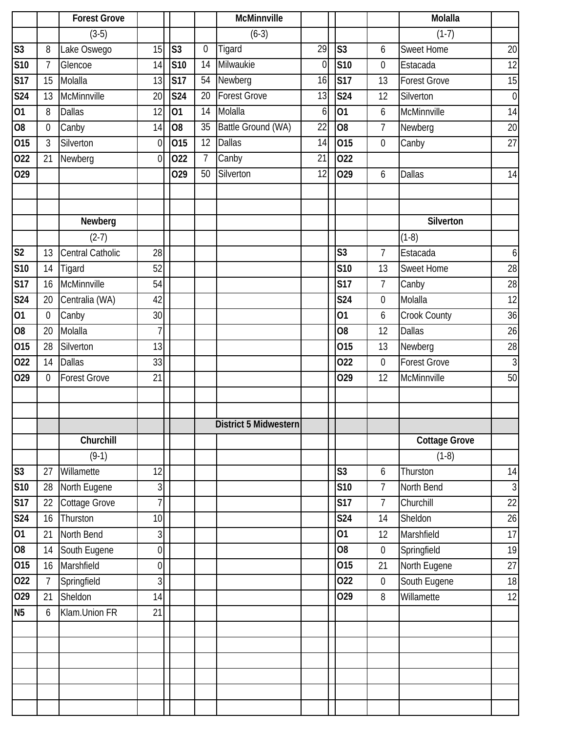|                |                | <b>Forest Grove</b>     |                |                |                 | <b>McMinnville</b>    |                 |                 |                  | Molalla              |                  |
|----------------|----------------|-------------------------|----------------|----------------|-----------------|-----------------------|-----------------|-----------------|------------------|----------------------|------------------|
|                |                | $(3-5)$                 |                |                |                 | $(6-3)$               |                 |                 |                  | $(1-7)$              |                  |
| S <sub>3</sub> | 8              | Lake Oswego             | 15             | S <sub>3</sub> | $\mathbf 0$     | Tigard                | 29              | S <sub>3</sub>  | 6                | <b>Sweet Home</b>    | 20               |
| <b>S10</b>     | $\overline{7}$ | Glencoe                 | 14             | <b>S10</b>     | 14              | Milwaukie             | $\overline{0}$  | S <sub>10</sub> | $\boldsymbol{0}$ | Estacada             | 12               |
| <b>S17</b>     | 15             | Molalla                 | 13             | <b>S17</b>     | 54              | Newberg               | 16              | <b>S17</b>      | 13               | <b>Forest Grove</b>  | 15               |
| <b>S24</b>     | 13             | McMinnville             | 20             | S24            | 20              | <b>Forest Grove</b>   | 13              | <b>S24</b>      | 12               | Silverton            | $\overline{0}$   |
| 01             | 8              | <b>Dallas</b>           | 12             | 01             | 14              | Molalla               | 6               | $\overline{01}$ | 6                | McMinnville          | 14               |
| O <sub>8</sub> | $\overline{0}$ | Canby                   | 14             | O <sub>8</sub> | $\overline{35}$ | Battle Ground (WA)    | $\overline{22}$ | $\overline{08}$ | $\overline{7}$   | Newberg              | 20               |
| 015            | 3              | Silverton               | $\mathbf 0$    | 015            | 12              | <b>Dallas</b>         | 14              | 015             | $\mathbf 0$      | Canby                | 27               |
| 022            | 21             | Newberg                 | $\overline{0}$ | 022            | $\overline{7}$  | Canby                 | 21              | 022             |                  |                      |                  |
| 029            |                |                         |                | 029            | 50              | Silverton             | 12              | 029             | 6                | <b>Dallas</b>        | 14               |
|                |                |                         |                |                |                 |                       |                 |                 |                  |                      |                  |
|                |                |                         |                |                |                 |                       |                 |                 |                  |                      |                  |
|                |                | Newberg                 |                |                |                 |                       |                 |                 |                  | Silverton            |                  |
|                |                | $(2-7)$                 |                |                |                 |                       |                 |                 |                  | $(1-8)$              |                  |
| S <sub>2</sub> | 13             | <b>Central Catholic</b> | 28             |                |                 |                       |                 | S <sub>3</sub>  | $\overline{7}$   | Estacada             | $6 \overline{6}$ |
| <b>S10</b>     | 14             | Tigard                  | 52             |                |                 |                       |                 | S <sub>10</sub> | 13               | <b>Sweet Home</b>    | 28               |
| <b>S17</b>     | 16             | McMinnville             | 54             |                |                 |                       |                 | <b>S17</b>      | $\overline{7}$   | Canby                | 28               |
| <b>S24</b>     | 20             | Centralia (WA)          | 42             |                |                 |                       |                 | <b>S24</b>      | $\mathbf 0$      | Molalla              | 12               |
| 01             | $\mathbf 0$    | Canby                   | 30             |                |                 |                       |                 | 01              | 6                | Crook County         | 36               |
| O <sub>8</sub> | 20             | Molalla                 | $\overline{7}$ |                |                 |                       |                 | O <sub>8</sub>  | 12               | <b>Dallas</b>        | 26               |
| 015            | 28             | Silverton               | 13             |                |                 |                       |                 | 015             | 13               | Newberg              | 28               |
| 022            | 14             | <b>Dallas</b>           | 33             |                |                 |                       |                 | 022             | $\boldsymbol{0}$ | <b>Forest Grove</b>  | $\overline{3}$   |
| 029            | $\overline{0}$ | <b>Forest Grove</b>     | 21             |                |                 |                       |                 | 029             | 12               | McMinnville          | 50               |
|                |                |                         |                |                |                 |                       |                 |                 |                  |                      |                  |
|                |                |                         |                |                |                 |                       |                 |                 |                  |                      |                  |
|                |                |                         |                |                |                 | District 5 Midwestern |                 |                 |                  |                      |                  |
|                |                | Churchill               |                |                |                 |                       |                 |                 |                  | <b>Cottage Grove</b> |                  |
|                |                | $(9-1)$                 |                |                |                 |                       |                 |                 |                  | $(1-8)$              |                  |
| S <sub>3</sub> | 27             | Willamette              | 12             |                |                 |                       |                 | S <sub>3</sub>  | 6                | Thurston             | 14               |
| <b>S10</b>     | 28             | North Eugene            | $\mathfrak{Z}$ |                |                 |                       |                 | S10             | $\overline{7}$   | North Bend           | 3                |
| <b>S17</b>     | 22             | Cottage Grove           | 7              |                |                 |                       |                 | <b>S17</b>      | $\overline{7}$   | Churchill            | 22               |
| <b>S24</b>     | 16             | Thurston                | 10             |                |                 |                       |                 | <b>S24</b>      | 14               | Sheldon              | 26               |
| 01             | 21             | North Bend              | $\overline{3}$ |                |                 |                       |                 | 01              | 12               | Marshfield           | 17               |
| O <sub>8</sub> | 14             | South Eugene            | $\overline{0}$ |                |                 |                       |                 | O <sub>8</sub>  | $\boldsymbol{0}$ | Springfield          | 19               |
| 015            | 16             | Marshfield              | $\overline{0}$ |                |                 |                       |                 | 015             | 21               | North Eugene         | 27               |
| 022            | $\overline{7}$ | Springfield             | $\overline{3}$ |                |                 |                       |                 | 022             | $\mathbf 0$      | South Eugene         | 18               |
| 029            | 21             | Sheldon                 | 14             |                |                 |                       |                 | 029             | 8                | Willamette           | 12               |
| <b>N5</b>      | 6              | Klam.Union FR           | 21             |                |                 |                       |                 |                 |                  |                      |                  |
|                |                |                         |                |                |                 |                       |                 |                 |                  |                      |                  |
|                |                |                         |                |                |                 |                       |                 |                 |                  |                      |                  |
|                |                |                         |                |                |                 |                       |                 |                 |                  |                      |                  |
|                |                |                         |                |                |                 |                       |                 |                 |                  |                      |                  |
|                |                |                         |                |                |                 |                       |                 |                 |                  |                      |                  |
|                |                |                         |                |                |                 |                       |                 |                 |                  |                      |                  |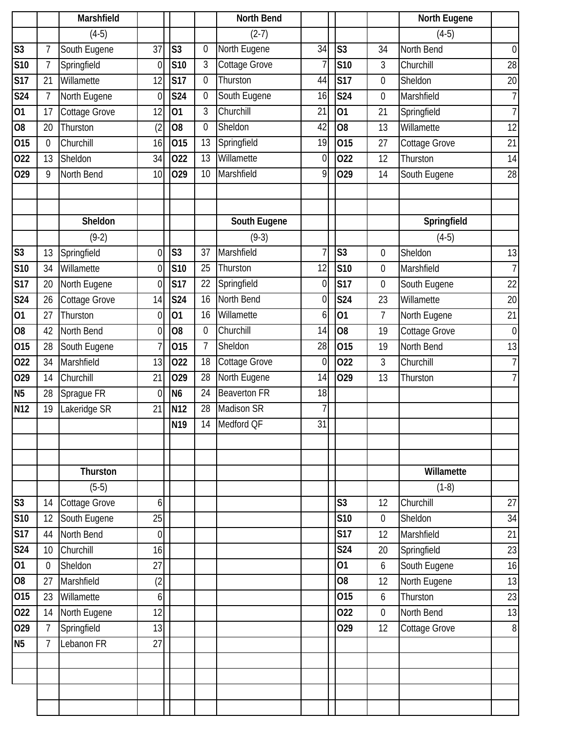|                |                | Marshfield    |                |                 |                  | <b>North Bend</b>   |                |                         |                  | <b>North Eugene</b> |                  |
|----------------|----------------|---------------|----------------|-----------------|------------------|---------------------|----------------|-------------------------|------------------|---------------------|------------------|
|                |                | $(4-5)$       |                |                 |                  | $(2-7)$             |                |                         |                  | $(4-5)$             |                  |
| S <sub>3</sub> | 7              | South Eugene  | 37             | S <sub>3</sub>  | $\mathbf{0}$     | North Eugene        | 34             | S <sub>3</sub>          | 34               | North Bend          | $\boldsymbol{0}$ |
| <b>S10</b>     | $\overline{1}$ | Springfield   | $\overline{0}$ | <b>S10</b>      | 3                | Cottage Grove       | 7              | <b>S10</b>              | 3                | Churchill           | 28               |
| <b>S17</b>     | 21             | Willamette    | 12             | <b>S17</b>      | $\mathbf 0$      | Thurston            | 44             | <b>S17</b>              | $\boldsymbol{0}$ | Sheldon             | 20               |
| S24            | 7              | North Eugene  | 0              | S24             | $\mathbf 0$      | South Eugene        | 16             | <b>S24</b>              | $\boldsymbol{0}$ | Marshfield          | $\overline{7}$   |
| 01             | 17             | Cottage Grove | 12             | 01              | 3                | Churchill           | 21             | 01                      | 21               | Springfield         | $\overline{7}$   |
| O <sub>8</sub> | 20             | Thurston      | (2)            | O <sub>8</sub>  | $\mathbf{0}$     | Sheldon             | 42             | $\overline{08}$         | 13               | Willamette          | 12               |
| 015            | $\mathbf 0$    | Churchill     | 16             | 015             | 13               | Springfield         | 19             | 015                     | 27               | Cottage Grove       | 21               |
| 022            | 13             | Sheldon       | 34             | 022             | 13               | Willamette          | $\overline{0}$ | 022                     | 12               | Thurston            | 14               |
| 029            | 9              | North Bend    | 10             | 029             | 10               | Marshfield          | 9              | 029                     | 14               | South Eugene        | 28               |
|                |                |               |                |                 |                  |                     |                |                         |                  |                     |                  |
|                |                |               |                |                 |                  |                     |                |                         |                  |                     |                  |
|                |                | Sheldon       |                |                 |                  | South Eugene        |                |                         |                  | Springfield         |                  |
|                |                | $(9-2)$       |                |                 |                  | $(9-3)$             |                |                         |                  | $(4-5)$             |                  |
| S <sub>3</sub> | 13             | Springfield   | 0              | S <sub>3</sub>  | 37               | Marshfield          | 7              | S <sub>3</sub>          | 0                | Sheldon             | 13               |
| <b>S10</b>     | 34             | Willamette    | 0              | <b>S10</b>      | 25               | Thurston            | 12             | S10                     | 0                | Marshfield          | $\overline{7}$   |
| <b>S17</b>     | 20             | North Eugene  | $\Omega$       | <b>S17</b>      | 22               | Springfield         | $\overline{0}$ | $\overline{\text{S}17}$ | 0                | South Eugene        | 22               |
| <b>S24</b>     | 26             | Cottage Grove | 14             | <b>S24</b>      | 16               | North Bend          | $\overline{0}$ | S24                     | 23               | Willamette          | 20               |
| 01             | 27             | Thurston      | $\overline{0}$ | 01              | 16               | Willamette          | $6 \mid$       | 01                      | 7                | North Eugene        | 21               |
| O <sub>8</sub> | 42             | North Bend    | $\overline{0}$ | O8              | $\boldsymbol{0}$ | Churchill           | 14             | O <sub>8</sub>          | 19               | Cottage Grove       | $\boldsymbol{0}$ |
| 015            | 28             | South Eugene  |                | 015             | $\overline{1}$   | Sheldon             | 28             | 015                     | 19               | North Bend          | 13               |
| 022            | 34             | Marshfield    | 13             | 022             | 18               | Cottage Grove       | $\overline{0}$ | 022                     | 3                | Churchill           | $\overline{7}$   |
| 029            | 14             | Churchill     | 21             | 029             | 28               | North Eugene        | 14             | 029                     | 13               | Thurston            | $\overline{7}$   |
| N <sub>5</sub> | 28             | Sprague FR    | $\overline{0}$ | N <sub>6</sub>  | 24               | <b>Beaverton FR</b> | 18             |                         |                  |                     |                  |
| N12            | 19             | Lakeridge SR  | 21             | N12             | 28               | <b>Madison SR</b>   | 7              |                         |                  |                     |                  |
|                |                |               |                | N <sub>19</sub> | 14               | Medford QF          | 31             |                         |                  |                     |                  |
|                |                |               |                |                 |                  |                     |                |                         |                  |                     |                  |
|                |                |               |                |                 |                  |                     |                |                         |                  |                     |                  |
|                |                | Thurston      |                |                 |                  |                     |                |                         |                  | Willamette          |                  |
|                |                | $(5-5)$       |                |                 |                  |                     |                |                         |                  | $(1-8)$             |                  |
| S <sub>3</sub> | 14             | Cottage Grove | 6              |                 |                  |                     |                | S <sub>3</sub>          | 12               | Churchill           | 27               |
| <b>S10</b>     | 12             | South Eugene  | 25             |                 |                  |                     |                | S10                     | $\boldsymbol{0}$ | Sheldon             | 34               |
| <b>S17</b>     | 44             | North Bend    | $\overline{0}$ |                 |                  |                     |                | <b>S17</b>              | 12               | Marshfield          | 21               |
| <b>S24</b>     | 10             | Churchill     | 16             |                 |                  |                     |                | <b>S24</b>              | 20               | Springfield         | 23               |
| 01             | 0              | Sheldon       | 27             |                 |                  |                     |                | 01                      | 6                | South Eugene        | 16               |
| O <sub>8</sub> | 27             | Marshfield    | (2)            |                 |                  |                     |                | O <sub>8</sub>          | 12               | North Eugene        | 13               |
| 015            | 23             | Willamette    | 6              |                 |                  |                     |                | 015                     | 6                | Thurston            | 23               |
| 022            | 14             | North Eugene  | 12             |                 |                  |                     |                | 022                     | $\boldsymbol{0}$ | North Bend          | 13               |
| 029            | $\overline{7}$ | Springfield   | 13             |                 |                  |                     |                | 029                     | 12               | Cottage Grove       | $\, 8$           |
| N <sub>5</sub> | $\overline{7}$ | Lebanon FR    | 27             |                 |                  |                     |                |                         |                  |                     |                  |
|                |                |               |                |                 |                  |                     |                |                         |                  |                     |                  |
|                |                |               |                |                 |                  |                     |                |                         |                  |                     |                  |
|                |                |               |                |                 |                  |                     |                |                         |                  |                     |                  |
|                |                |               |                |                 |                  |                     |                |                         |                  |                     |                  |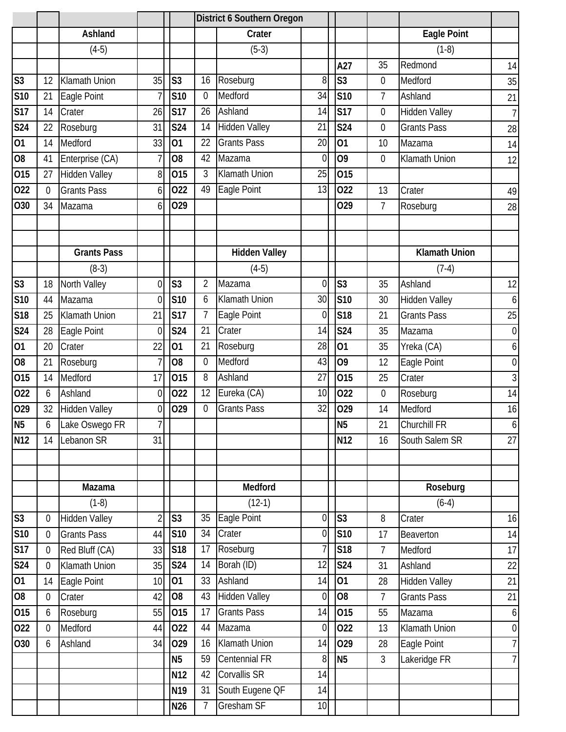|                         |                  |                      |                |                 |                | <b>District 6 Southern Oregon</b> |                |                 |                |                      |                  |
|-------------------------|------------------|----------------------|----------------|-----------------|----------------|-----------------------------------|----------------|-----------------|----------------|----------------------|------------------|
|                         |                  | Ashland              |                |                 |                | Crater                            |                |                 |                | <b>Eagle Point</b>   |                  |
|                         |                  | $(4-5)$              |                |                 |                | $(5-3)$                           |                |                 |                | $(1-8)$              |                  |
|                         |                  |                      |                |                 |                |                                   |                | A27             | 35             | Redmond              | 14               |
| $\overline{\text{S}3}$  | 12               | <b>Klamath Union</b> | 35             | S <sub>3</sub>  | 16             | Roseburg                          | 8              | S <sub>3</sub>  | $\mathbf 0$    | Medford              | 35               |
| S <sub>10</sub>         | 21               | Eagle Point          |                | S10             | $\mathbf 0$    | Medford                           | 34             | S <sub>10</sub> | $\overline{7}$ | Ashland              | 21               |
| $\overline{\text{S}17}$ | 14               | Crater               | 26             | <b>S17</b>      | 26             | Ashland                           | 14             | <b>S17</b>      | 0              | <b>Hidden Valley</b> | $\overline{7}$   |
| <b>S24</b>              | 22               | Roseburg             | 31             | <b>S24</b>      | 14             | <b>Hidden Valley</b>              | 21             | S24             | $\mathbf 0$    | <b>Grants Pass</b>   | 28               |
| 01                      | 14               | Medford              | 33             | 01              | 22             | <b>Grants Pass</b>                | 20             | 01              | 10             | Mazama               | 14               |
| $\overline{08}$         | 41               | Enterprise (CA)      |                | O <sub>8</sub>  | 42             | Mazama                            | $\overline{0}$ | 09              | $\overline{0}$ | Klamath Union        | 12               |
| 015                     | 27               | <b>Hidden Valley</b> | 8              | 015             | 3              | Klamath Union                     | 25             | 015             |                |                      |                  |
| 022                     | $\overline{0}$   | <b>Grants Pass</b>   | 6              | 022             | 49             | Eagle Point                       | 13             | 022             | 13             | Crater               | 49               |
| O30                     | 34               | Mazama               | 6              | 029             |                |                                   |                | 029             | $\overline{7}$ | Roseburg             | 28               |
|                         |                  |                      |                |                 |                |                                   |                |                 |                |                      |                  |
|                         |                  | <b>Grants Pass</b>   |                |                 |                | <b>Hidden Valley</b>              |                |                 |                | <b>Klamath Union</b> |                  |
|                         |                  | $(8-3)$              |                |                 |                | $(4-5)$                           |                |                 |                | $(7-4)$              |                  |
| S <sub>3</sub>          | 18               | North Valley         | $\Omega$       | S <sub>3</sub>  | $\overline{2}$ | Mazama                            | $\overline{0}$ | S <sub>3</sub>  | 35             | Ashland              | 12               |
| S10                     | 44               | Mazama               | $\Omega$       | <b>S10</b>      | 6              | Klamath Union                     | 30             | S <sub>10</sub> | 30             | <b>Hidden Valley</b> | 6                |
| S18                     | 25               | Klamath Union        | 21             | <b>S17</b>      | $\overline{7}$ | Eagle Point                       | $\overline{0}$ | <b>S18</b>      | 21             | <b>Grants Pass</b>   | 25               |
| <b>S24</b>              | 28               | Eagle Point          | $\overline{0}$ | S24             | 21             | Crater                            | 14             | S24             | 35             | Mazama               | $\boldsymbol{0}$ |
| $\overline{01}$         | 20               | Crater               | 22             | 01              | 21             | Roseburg                          | 28             | 01              | 35             | Yreka (CA)           | 6                |
| O <sub>8</sub>          | 21               | Roseburg             |                | O <sub>8</sub>  | $\mathbf{0}$   | Medford                           | 43             | O <sub>9</sub>  | 12             | Eagle Point          | $\boldsymbol{0}$ |
| 015                     | 14               | Medford              | 17             | 015             | 8              | Ashland                           | 27             | 015             | 25             | Crater               | 3                |
| 022                     | 6                | Ashland              | $\Omega$       | 022             | 12             | Eureka (CA)                       | 10             | 022             | $\mathbf 0$    | Roseburg             | 14               |
| 029                     | 32               | <b>Hidden Valley</b> | $\overline{0}$ | 029             | $\mathbf{0}$   | <b>Grants Pass</b>                | 32             | 029             | 14             | Medford              | 16               |
| N <sub>5</sub>          | 6                | Lake Oswego FR       | $\overline{7}$ |                 |                |                                   |                | <b>N5</b>       | 21             | Churchill FR         | $\overline{6}$   |
| N <sub>12</sub>         | 14               | Lebanon SR           | 31             |                 |                |                                   |                | N12             | 16             | South Salem SR       | 27               |
|                         |                  |                      |                |                 |                |                                   |                |                 |                |                      |                  |
|                         |                  | Mazama               |                |                 |                | Medford                           |                |                 |                | Roseburg             |                  |
|                         |                  | $(1-8)$              |                |                 |                | $(12-1)$                          |                |                 |                | $(6-4)$              |                  |
| S3                      | $\boldsymbol{0}$ | <b>Hidden Valley</b> | $\overline{2}$ | S <sub>3</sub>  | 35             | Eagle Point                       | $\overline{0}$ | S <sub>3</sub>  | 8              | Crater               | 16               |
| S10                     | $\boldsymbol{0}$ | <b>Grants Pass</b>   | 44             | <b>S10</b>      | 34             | Crater                            | 01             | S <sub>10</sub> | 17             | Beaverton            | 14               |
| <b>S17</b>              | $\boldsymbol{0}$ | Red Bluff (CA)       | 33             | <b>S18</b>      | 17             | Roseburg                          | 71             | S18             | $\overline{7}$ | Medford              | 17               |
| <b>S24</b>              | $\theta$         | Klamath Union        | 35             | <b>S24</b>      | 14             | Borah (ID)                        | 12             | <b>S24</b>      | 31             | Ashland              | 22               |
| $\overline{01}$         | 14               | Eagle Point          | 10             | 01              | 33             | Ashland                           | 14             | 01              | 28             | Hidden Valley        | 21               |
| $\overline{08}$         | $\mathbf 0$      | Crater               | 42             | O <sub>8</sub>  | 43             | <b>Hidden Valley</b>              | $\overline{0}$ | O <sub>8</sub>  | $\overline{7}$ | <b>Grants Pass</b>   | 21               |
| 015                     | 6                | Roseburg             | 55             | 015             | 17             | <b>Grants Pass</b>                | 14             | 015             | 55             | Mazama               | $6 \mid$         |
| 022                     | $\boldsymbol{0}$ | Medford              | 44             | 022             | 44             | Mazama                            | $\overline{0}$ | 022             | 13             | Klamath Union        | $\overline{0}$   |
| O30                     | 6                | Ashland              | 34             | 029             | 16             | Klamath Union                     | 14             | 029             | 28             | Eagle Point          | $\overline{7}$   |
|                         |                  |                      |                | N <sub>5</sub>  | 59             | Centennial FR                     | 8 <sup>1</sup> | N <sub>5</sub>  | $\overline{3}$ | Lakeridge FR         | 7                |
|                         |                  |                      |                | N12             | 42             | Corvallis SR                      | 14             |                 |                |                      |                  |
|                         |                  |                      |                | N <sub>19</sub> | 31             | South Eugene QF                   | 14             |                 |                |                      |                  |
|                         |                  |                      |                | N <sub>26</sub> | 7              | <b>Gresham SF</b>                 | 10             |                 |                |                      |                  |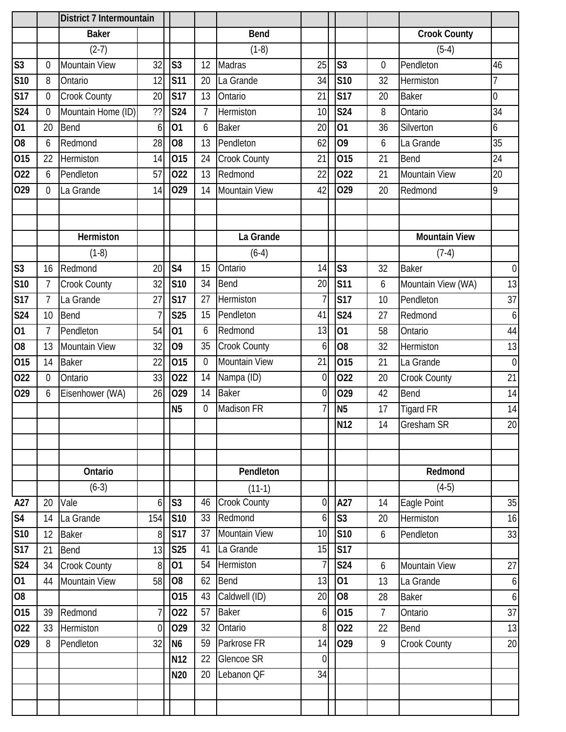|                |                | District 7 Intermountain |          |                |                 |                      |                 |                         |                |                      |                  |
|----------------|----------------|--------------------------|----------|----------------|-----------------|----------------------|-----------------|-------------------------|----------------|----------------------|------------------|
|                |                | <b>Baker</b>             |          |                |                 | <b>Bend</b>          |                 |                         |                | <b>Crook County</b>  |                  |
|                |                | $(2-7)$                  |          |                |                 | $(1-8)$              |                 |                         |                | $(5-4)$              |                  |
| S3             | $\Omega$       | Mountain View            | 32       | S <sub>3</sub> | 12              | Madras               | 25              | S <sub>3</sub>          | $\overline{0}$ | Pendleton            | 46               |
| S10            | 8              | Ontario                  | 12       | <b>S11</b>     | 20              | La Grande            | 34              | S <sub>10</sub>         | 32             | Hermiston            | 7                |
| <b>S17</b>     | $\theta$       | Crook County             | 20       | <b>S17</b>     | 13              | Ontario              | 21              | <b>S17</b>              | 20             | <b>Baker</b>         | $\overline{0}$   |
| <b>S24</b>     | $\Omega$       | Mountain Home (ID)       | ??       | <b>S24</b>     | $\overline{7}$  | Hermiston            | 10              | S24                     | 8              | Ontario              | 34               |
| 01             | 20             | <b>Bend</b>              | 6        | 01             | 6               | <b>Baker</b>         | 20              | $\overline{01}$         | 36             | Silverton            | 6                |
| O <sub>8</sub> | 6              | Redmond                  | 28       | O <sub>8</sub> | 13              | Pendleton            | 62              | O <sub>9</sub>          | 6              | La Grande            | 35               |
| 015            | 22             | Hermiston                | 14       | 015            | 24              | Crook County         | 21              | 015                     | 21             | Bend                 | 24               |
| 022            | 6              | Pendleton                | 57       | 022            | 13              | Redmond              | 22              | 022                     | 21             | Mountain View        | 20               |
| 029            | $\Omega$       | La Grande                | 14       | 029            | 14              | <b>Mountain View</b> | 42              | 029                     | 20             | Redmond              | 9                |
|                |                |                          |          |                |                 |                      |                 |                         |                |                      |                  |
|                |                |                          |          |                |                 |                      |                 |                         |                |                      |                  |
|                |                | Hermiston                |          |                |                 | La Grande            |                 |                         |                | <b>Mountain View</b> |                  |
|                |                | $(1-8)$                  |          |                |                 | $(6-4)$              |                 |                         |                | $(7-4)$              |                  |
| S <sub>3</sub> | 16             | Redmond                  | 20       | S <sub>4</sub> | 15              | Ontario              | 14              | S <sub>3</sub>          | 32             | <b>Baker</b>         | $\boldsymbol{0}$ |
| <b>S10</b>     | $\overline{7}$ | Crook County             | 32       | <b>S10</b>     | 34              | <b>Bend</b>          | 20              | S <sub>11</sub>         | 6              | Mountain View (WA)   | 13               |
| <b>S17</b>     | $\overline{7}$ | La Grande                | 27       | <b>S17</b>     | 27              | Hermiston            | 7               | <b>S17</b>              | 10             | Pendleton            | 37               |
| <b>S24</b>     | 10             | <b>Bend</b>              |          | <b>S25</b>     | 15              | Pendleton            | 41              | <b>S24</b>              | 27             | Redmond              | $\boldsymbol{6}$ |
| 01             | $\overline{7}$ | Pendleton                | 54       | 01             | 6               | Redmond              | 13              | 01                      | 58             | Ontario              | 44               |
| O <sub>8</sub> | 13             | <b>Mountain View</b>     | 32       | O <sub>9</sub> | 35              | Crook County         | 6               | O <sub>8</sub>          | 32             | Hermiston            | 13               |
| 015            | 14             | <b>Baker</b>             | 22       | 015            | $\theta$        | <b>Mountain View</b> | 21              | 015                     | 21             | La Grande            | $\boldsymbol{0}$ |
| 022            | $\Omega$       | Ontario                  | 33       | 022            | 14              | Nampa (ID)           | $\overline{0}$  | 022                     | 20             | Crook County         | 21               |
| 029            | 6              | Eisenhower (WA)          | 26       | 029            | 14              | <b>Baker</b>         | $\overline{0}$  | 029                     | 42             | Bend                 | 14               |
|                |                |                          |          | N <sub>5</sub> | $\overline{0}$  | Madison FR           | $\overline{7}$  | N <sub>5</sub>          | 17             | <b>Tigard FR</b>     | 14               |
|                |                |                          |          |                |                 |                      |                 | <b>N12</b>              | 14             | Gresham SR           | $20\,$           |
|                |                |                          |          |                |                 |                      |                 |                         |                |                      |                  |
|                |                |                          |          |                |                 |                      |                 |                         |                |                      |                  |
|                |                | Ontario                  |          |                |                 | Pendleton            |                 |                         |                | Redmond              |                  |
|                |                | $(6-3)$                  |          |                |                 | $(11-1)$             |                 |                         |                | $(4-5)$              |                  |
| A27            | 20             | Vale                     | $6 \mid$ | S <sub>3</sub> | 46              | <b>Crook County</b>  | $\overline{0}$  | A27                     | 14             | Eagle Point          | 35               |
| S <sub>4</sub> | 14             | La Grande                | 154      | <b>S10</b>     | 33              | Redmond              | $6 \mid$        | S <sub>3</sub>          | 20             | Hermiston            | 16               |
| S10            | 12             | <b>Baker</b>             | 8        | <b>S17</b>     | 37              | Mountain View        | 10 <sup>1</sup> | S <sub>10</sub>         | 6              | Pendleton            | 33               |
| S17            | 21             | Bend                     | 13       | <b>S25</b>     | 41              | La Grande            | 15              | $\overline{\text{S}17}$ |                |                      |                  |
| S24            | 34             | <b>Crook County</b>      | 8        | 01             | 54              | Hermiston            | $\overline{7}$  | S <sub>24</sub>         | 6              | Mountain View        | 27               |
| 01             | 44             | <b>Mountain View</b>     | 58       | O <sub>8</sub> | 62              | Bend                 | 13              | 01                      | 13             | La Grande            | $\boldsymbol{6}$ |
| 08             |                |                          |          | 015            | 43              | Caldwell (ID)        | 20              | O <sub>8</sub>          | 28             | <b>Baker</b>         | $\boldsymbol{6}$ |
| 015            | 39             | Redmond                  |          | 022            | 57              | <b>Baker</b>         | $6 \mid$        | 015                     | $\overline{7}$ | Ontario              | 37               |
| 022            | 33             | Hermiston                | $\Omega$ | 029            | 32              | Ontario              | 8 <sup>1</sup>  | 022                     | 22             | Bend                 | 13               |
| 029            | 8              | Pendleton                | 32       | N <sub>6</sub> | 59              | Parkrose FR          | 14              | 029                     | 9              | Crook County         | 20               |
|                |                |                          |          | <b>N12</b>     | $\overline{22}$ | <b>Glencoe SR</b>    | $\overline{0}$  |                         |                |                      |                  |
|                |                |                          |          | N20            | 20              | Lebanon QF           | 34              |                         |                |                      |                  |
|                |                |                          |          |                |                 |                      |                 |                         |                |                      |                  |
|                |                |                          |          |                |                 |                      |                 |                         |                |                      |                  |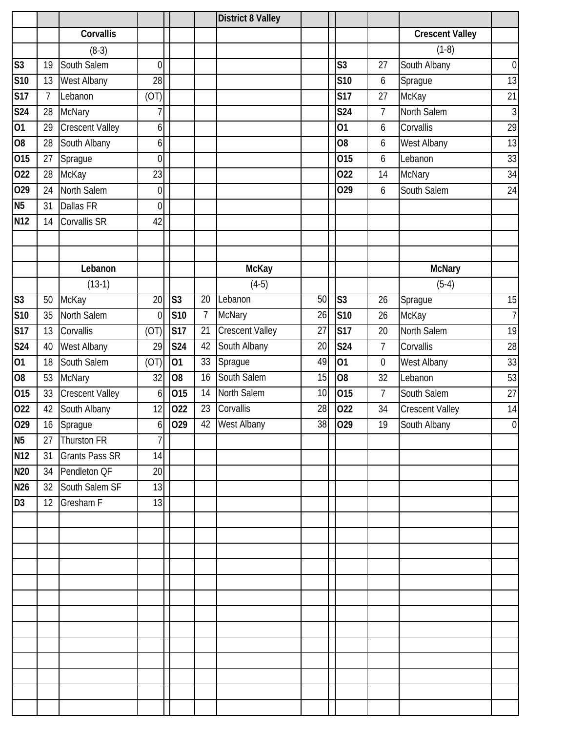|                          |                |                        |                  |                   |                | <b>District 8 Valley</b> |    |                        |                  |                        |                |
|--------------------------|----------------|------------------------|------------------|-------------------|----------------|--------------------------|----|------------------------|------------------|------------------------|----------------|
|                          |                | Corvallis              |                  |                   |                |                          |    |                        |                  | <b>Crescent Valley</b> |                |
|                          |                | $(8-3)$                |                  |                   |                |                          |    |                        |                  | $(1-8)$                |                |
| $\overline{\mathsf{S}3}$ | 19             | South Salem            | $\overline{0}$   |                   |                |                          |    | S <sub>3</sub>         | 27               | South Albany           | $\overline{0}$ |
| S <sub>10</sub>          | 13             | <b>West Albany</b>     | 28               |                   |                |                          |    | <b>S10</b>             | 6                | Sprague                | 13             |
| S17                      | $\overline{7}$ | Lebanon                | (OT)             |                   |                |                          |    | <b>S17</b>             | 27               | McKay                  | 21             |
| S24                      | 28             | <b>McNary</b>          | 7                |                   |                |                          |    | S24                    | $\overline{7}$   | North Salem            | $\overline{3}$ |
| 01                       | 29             | <b>Crescent Valley</b> | 6                |                   |                |                          |    | 01                     | 6                | Corvallis              | 29             |
| $\overline{08}$          | 28             | South Albany           | $\overline{6}$   |                   |                |                          |    | O <sub>8</sub>         | 6                | West Albany            | 13             |
| 015                      | 27             | Sprague                | $\overline{0}$   |                   |                |                          |    | 015                    | 6                | Lebanon                | 33             |
| 022                      | 28             | McKay                  | 23               |                   |                |                          |    | 022                    | 14               | <b>McNary</b>          | 34             |
| 029                      | 24             | North Salem            | $\overline{0}$   |                   |                |                          |    | 029                    | 6                | South Salem            | 24             |
| N <sub>5</sub>           | 31             | <b>Dallas FR</b>       | $\overline{0}$   |                   |                |                          |    |                        |                  |                        |                |
| $\overline{N12}$         | 14             | Corvallis SR           | 42               |                   |                |                          |    |                        |                  |                        |                |
|                          |                |                        |                  |                   |                |                          |    |                        |                  |                        |                |
|                          |                |                        |                  |                   |                |                          |    |                        |                  |                        |                |
|                          |                | Lebanon                |                  |                   |                | <b>McKay</b>             |    |                        |                  | <b>McNary</b>          |                |
|                          |                | $(13-1)$               |                  |                   |                | $(4-5)$                  |    |                        |                  | $(5-4)$                |                |
| S3                       | 50             | McKay                  | 20               | S <sub>3</sub>    | 20             | Lebanon                  | 50 | $\overline{\text{S3}}$ | 26               | Sprague                | 15             |
| S10                      | 35             | North Salem            | $\theta$         | <b>S10</b>        | $\overline{7}$ | <b>McNary</b>            | 26 | S <sub>10</sub>        | 26               | McKay                  | $\overline{7}$ |
| <b>S17</b>               | 13             | Corvallis              | (OT)             | <b>S17</b>        | 21             | <b>Crescent Valley</b>   | 27 | S <sub>17</sub>        | 20               | North Salem            | 19             |
| S <sub>24</sub>          | 40             | <b>West Albany</b>     | 29               | S24               | 42             | South Albany             | 20 | S <sub>24</sub>        | $\overline{7}$   | Corvallis              | 28             |
| $\overline{01}$          | 18             | South Salem            | (OT)             | 01                | 33             | Sprague                  | 49 | 01                     | $\boldsymbol{0}$ | West Albany            | 33             |
| 08                       | 53             | <b>McNary</b>          | 32               | O <sub>8</sub>    | 16             | South Salem              | 15 | $\overline{60}$        | 32               | Lebanon                | 53             |
| 015                      | 33             | <b>Crescent Valley</b> | $6 \overline{6}$ | 015               | 14             | North Salem              | 10 | 015                    | $\overline{7}$   | South Salem            | 27             |
| 022                      | 42             | South Albany           | 12               | 022               | 23             | Corvallis                | 28 | 022                    | 34               | <b>Crescent Valley</b> | 14             |
| $\overline{O29}$         | 16             | Sprague                | $6 \overline{6}$ | $\overline{0}$ 29 | 42             | West Albany              | 38 | $\overline{10}$ 29     | 19               | South Albany           | $\overline{0}$ |
| $rac{1}{N5}$             | 27             | Thurston FR            | $\overline{7}$   |                   |                |                          |    |                        |                  |                        |                |
| <b>N12</b>               | 31             | <b>Grants Pass SR</b>  | 14               |                   |                |                          |    |                        |                  |                        |                |
| <b>N20</b>               | 34             | Pendleton QF           | 20               |                   |                |                          |    |                        |                  |                        |                |
| N26                      | 32             | South Salem SF         | 13               |                   |                |                          |    |                        |                  |                        |                |
| D <sub>3</sub>           | 12             | <b>Gresham F</b>       | 13               |                   |                |                          |    |                        |                  |                        |                |
|                          |                |                        |                  |                   |                |                          |    |                        |                  |                        |                |
|                          |                |                        |                  |                   |                |                          |    |                        |                  |                        |                |
|                          |                |                        |                  |                   |                |                          |    |                        |                  |                        |                |
|                          |                |                        |                  |                   |                |                          |    |                        |                  |                        |                |
|                          |                |                        |                  |                   |                |                          |    |                        |                  |                        |                |
|                          |                |                        |                  |                   |                |                          |    |                        |                  |                        |                |
|                          |                |                        |                  |                   |                |                          |    |                        |                  |                        |                |
|                          |                |                        |                  |                   |                |                          |    |                        |                  |                        |                |
|                          |                |                        |                  |                   |                |                          |    |                        |                  |                        |                |
|                          |                |                        |                  |                   |                |                          |    |                        |                  |                        |                |
|                          |                |                        |                  |                   |                |                          |    |                        |                  |                        |                |
|                          |                |                        |                  |                   |                |                          |    |                        |                  |                        |                |
|                          |                |                        |                  |                   |                |                          |    |                        |                  |                        |                |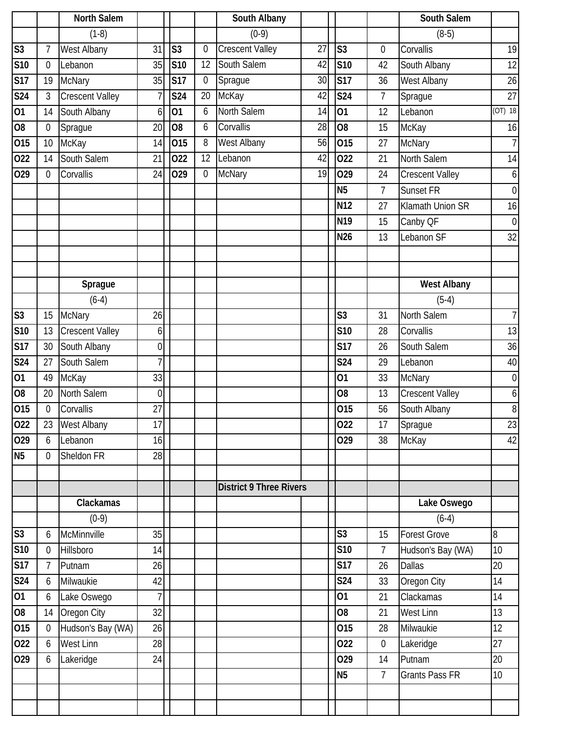|                        |                | North Salem            |                  |                 |                  | South Albany                   |    |                 |                | South Salem            |                  |
|------------------------|----------------|------------------------|------------------|-----------------|------------------|--------------------------------|----|-----------------|----------------|------------------------|------------------|
|                        |                | $(1-8)$                |                  |                 |                  | $(0-9)$                        |    |                 |                | $(8-5)$                |                  |
| $\overline{\text{S}3}$ | $\overline{1}$ | <b>West Albany</b>     | 31               | S <sub>3</sub>  | $\mathbf{0}$     | <b>Crescent Valley</b>         | 27 | S <sub>3</sub>  | 0              | Corvallis              | 19               |
| S <sub>10</sub>        | $\overline{0}$ | Lebanon                | 35               | <b>S10</b>      | 12               | South Salem                    | 42 | S <sub>10</sub> | 42             | South Albany           | 12               |
| S17                    | 19             | <b>McNary</b>          | 35               | <b>S17</b>      | $\boldsymbol{0}$ | Sprague                        | 30 | S17             | 36             | West Albany            | 26               |
| S <sub>24</sub>        | 3              | <b>Crescent Valley</b> |                  | S24             | 20               | McKay                          | 42 | <b>S24</b>      | $\overline{7}$ | Sprague                | 27               |
| 01                     | 14             | South Albany           | 6                | $\overline{01}$ | 6                | North Salem                    | 14 | $\overline{01}$ | 12             | Lebanon                | $(OT)$ 18        |
| 08                     | $\mathbf 0$    | Sprague                | 20               | O <sub>8</sub>  | 6                | Corvallis                      | 28 | $\overline{08}$ | 15             | McKay                  | 16               |
| 015                    | 10             | McKay                  | 14               | 015             | 8                | <b>West Albany</b>             | 56 | 015             | 27             | <b>McNary</b>          | $\overline{7}$   |
| 022                    | 14             | South Salem            | 21               | 022             | 12               | Lebanon                        | 42 | 022             | 21             | North Salem            | 14               |
| 029                    | $\overline{0}$ | Corvallis              | 24               | 029             | $\mathbf 0$      | <b>McNary</b>                  | 19 | 029             | 24             | <b>Crescent Valley</b> | $\boldsymbol{6}$ |
|                        |                |                        |                  |                 |                  |                                |    | <b>N5</b>       | $\overline{7}$ | Sunset FR              | $\boldsymbol{0}$ |
|                        |                |                        |                  |                 |                  |                                |    | N12             | 27             | Klamath Union SR       | 16               |
|                        |                |                        |                  |                 |                  |                                |    | N <sub>19</sub> | 15             | Canby QF               | $\overline{0}$   |
|                        |                |                        |                  |                 |                  |                                |    | N26             | 13             | Lebanon SF             | 32               |
|                        |                |                        |                  |                 |                  |                                |    |                 |                |                        |                  |
|                        |                |                        |                  |                 |                  |                                |    |                 |                |                        |                  |
|                        |                | Sprague                |                  |                 |                  |                                |    |                 |                | <b>West Albany</b>     |                  |
|                        |                | $(6-4)$                |                  |                 |                  |                                |    |                 |                | $(5-4)$                |                  |
| $\overline{\text{S}3}$ | 15             | <b>McNary</b>          | 26               |                 |                  |                                |    | S <sub>3</sub>  | 31             | North Salem            | $\overline{7}$   |
| S10                    | 13             | <b>Crescent Valley</b> | $6 \overline{6}$ |                 |                  |                                |    | <b>S10</b>      | 28             | Corvallis              | 13               |
| S17                    | 30             | South Albany           | $\overline{0}$   |                 |                  |                                |    | <b>S17</b>      | 26             | South Salem            | 36               |
| <b>S24</b>             | 27             | South Salem            |                  |                 |                  |                                |    | <b>S24</b>      | 29             | Lebanon                | 40               |
| $\overline{01}$        | 49             | McKay                  | 33               |                 |                  |                                |    | 01              | 33             | <b>McNary</b>          | $\boldsymbol{0}$ |
| $\overline{80}$        | 20             | North Salem            | $\overline{0}$   |                 |                  |                                |    | 08              | 13             | <b>Crescent Valley</b> | 6                |
| 015                    | $\overline{0}$ | Corvallis              | 27               |                 |                  |                                |    | 015             | 56             | South Albany           | $\, 8$           |
| $\overline{O22}$       | 23             | West Albany            | 17               |                 |                  |                                |    | 022             | 17             | Sprague                | 23               |
| $\overline{O}29$       | 6              | Lebanon                | 16               |                 |                  |                                |    | 029             | 38             | McKay                  | 42               |
| N <sub>5</sub>         | $\overline{0}$ | Sheldon FR             | 28               |                 |                  |                                |    |                 |                |                        |                  |
|                        |                |                        |                  |                 |                  |                                |    |                 |                |                        |                  |
|                        |                |                        |                  |                 |                  | <b>District 9 Three Rivers</b> |    |                 |                |                        |                  |
|                        |                | Clackamas              |                  |                 |                  |                                |    |                 |                | Lake Oswego            |                  |
|                        |                | $(0-9)$                |                  |                 |                  |                                |    |                 |                | $(6-4)$                |                  |
| $\overline{\text{S}3}$ | 6              | McMinnville            | 35               |                 |                  |                                |    | S <sub>3</sub>  | 15             | <b>Forest Grove</b>    | 8                |
| S10                    | $\overline{0}$ | Hillsboro              | 14               |                 |                  |                                |    | <b>S10</b>      | $\overline{7}$ | Hudson's Bay (WA)      | 10               |
| S17                    | $\overline{7}$ | Putnam                 | 26               |                 |                  |                                |    | <b>S17</b>      | 26             | <b>Dallas</b>          | 20               |
| S <sub>24</sub>        | 6              | Milwaukie              | 42               |                 |                  |                                |    | S24             | 33             | Oregon City            | 14               |
| 01                     | 6              | Lake Oswego            | $\overline{7}$   |                 |                  |                                |    | 01              | 21             | Clackamas              | 14               |
| O <sub>8</sub>         | 14             | Oregon City            | 32               |                 |                  |                                |    | O <sub>8</sub>  | 21             | <b>West Linn</b>       | 13               |
| 015                    | $\overline{0}$ | Hudson's Bay (WA)      | 26               |                 |                  |                                |    | 015             | 28             | Milwaukie              | $\overline{12}$  |
| 022                    | 6              | <b>West Linn</b>       | 28               |                 |                  |                                |    | 022             | $\mathbf 0$    | Lakeridge              | 27               |
| 029                    | 6              | Lakeridge              | 24               |                 |                  |                                |    | 029             | 14             | Putnam                 | 20               |
|                        |                |                        |                  |                 |                  |                                |    | N <sub>5</sub>  | $\overline{7}$ | Grants Pass FR         | 10               |
|                        |                |                        |                  |                 |                  |                                |    |                 |                |                        |                  |
|                        |                |                        |                  |                 |                  |                                |    |                 |                |                        |                  |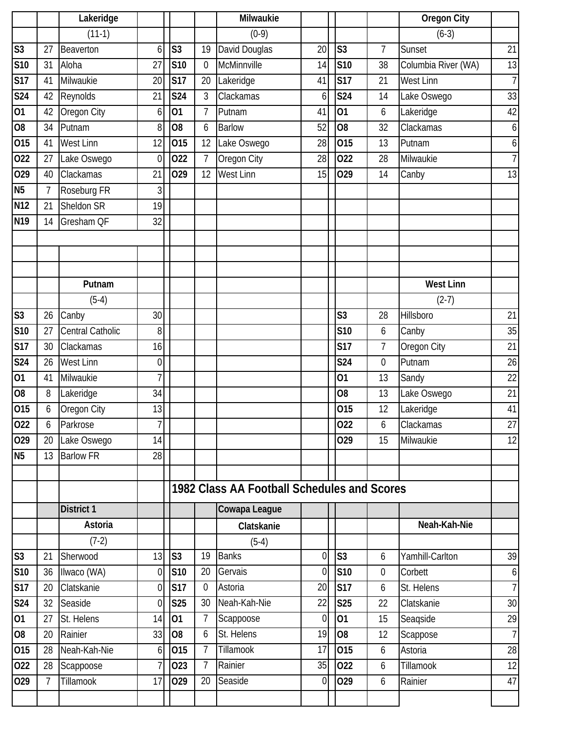|                 |                | Lakeridge         |                |                |                | Milwaukie                                   |                |                 |                  | <b>Oregon City</b>  |                |
|-----------------|----------------|-------------------|----------------|----------------|----------------|---------------------------------------------|----------------|-----------------|------------------|---------------------|----------------|
|                 |                | $(11-1)$          |                |                |                | $(0-9)$                                     |                |                 |                  | $(6-3)$             |                |
| S <sub>3</sub>  | 27             | Beaverton         | 6              | S <sub>3</sub> | 19             | David Douglas                               | 20             | S <sub>3</sub>  | $\overline{7}$   | Sunset              | 21             |
| <b>S10</b>      | 31             | Aloha             | 27             | <b>S10</b>     | $\mathbf 0$    | McMinnville                                 | 14             | S <sub>10</sub> | 38               | Columbia River (WA) | 13             |
| <b>S17</b>      | 41             | Milwaukie         | 20             | <b>S17</b>     | 20             | Lakeridge                                   | 41             | <b>S17</b>      | 21               | West Linn           | 7              |
| S24             | 42             | Reynolds          | 21             | <b>S24</b>     | 3              | Clackamas                                   | 6              | <b>S24</b>      | 14               | Lake Oswego         | 33             |
| 01              | 42             | Oregon City       | 6              | 01             | $\overline{7}$ | Putnam                                      | 41             | $\overline{01}$ | 6                | Lakeridge           | 42             |
| O <sub>8</sub>  | 34             | Putnam            | 8              | O <sub>8</sub> | 6              | <b>Barlow</b>                               | 52             | O <sub>8</sub>  | 32               | Clackamas           | 6              |
| 015             | 41             | <b>West Linn</b>  | 12             | 015            | 12             | Lake Oswego                                 | 28             | 015             | 13               | Putnam              | 6              |
| 022             | 27             | Lake Oswego       | $\mathbf 0$    | 022            | $\overline{7}$ | Oregon City                                 | 28             | 022             | 28               | Milwaukie           | $\overline{7}$ |
| 029             | 40             | Clackamas         | 21             | 029            | 12             | <b>West Linn</b>                            | 15             | 029             | 14               | Canby               | 13             |
| <b>N5</b>       | $\overline{7}$ | Roseburg FR       | 3              |                |                |                                             |                |                 |                  |                     |                |
| <b>N12</b>      | 21             | Sheldon SR        | 19             |                |                |                                             |                |                 |                  |                     |                |
| N <sub>19</sub> | 14             | Gresham QF        | 32             |                |                |                                             |                |                 |                  |                     |                |
|                 |                |                   |                |                |                |                                             |                |                 |                  |                     |                |
|                 |                |                   |                |                |                |                                             |                |                 |                  |                     |                |
|                 |                |                   |                |                |                |                                             |                |                 |                  |                     |                |
|                 |                | Putnam            |                |                |                |                                             |                |                 |                  | <b>West Linn</b>    |                |
|                 |                | $(5-4)$           |                |                |                |                                             |                |                 |                  | $(2-7)$             |                |
| S <sub>3</sub>  | 26             | Canby             | 30             |                |                |                                             |                | S <sub>3</sub>  | 28               | Hillsboro           | 21             |
| S10             | 27             | Central Catholic  | 8              |                |                |                                             |                | S10             | 6                | Canby               | 35             |
| <b>S17</b>      | 30             | Clackamas         | 16             |                |                |                                             |                | <b>S17</b>      | $\overline{7}$   | Oregon City         | 21             |
| S24             | 26             | <b>West Linn</b>  | $\overline{0}$ |                |                |                                             |                | <b>S24</b>      | $\mathbf 0$      | Putnam              | 26             |
| 01              | 41             | Milwaukie         | $\overline{7}$ |                |                |                                             |                | 01              | 13               | Sandy               | 22             |
| O <sub>8</sub>  | 8              | Lakeridge         | 34             |                |                |                                             |                | O <sub>8</sub>  | 13               | Lake Oswego         | 21             |
| 015             | 6              | Oregon City       | 13             |                |                |                                             |                | 015             | 12               | Lakeridge           | 41             |
| 022             | 6              | Parkrose          | 7 <sup>1</sup> |                |                |                                             |                | 022             | 6                | Clackamas           | 27             |
| 029             | 20             | Lake Oswego       | 14             |                |                |                                             |                | 029             | 15               | Milwaukie           | 12             |
| <b>N5</b>       | 13             | <b>Barlow FR</b>  | 28             |                |                |                                             |                |                 |                  |                     |                |
|                 |                |                   |                |                |                |                                             |                |                 |                  |                     |                |
|                 |                |                   |                |                |                | 1982 Class AA Football Schedules and Scores |                |                 |                  |                     |                |
|                 |                | <b>District 1</b> |                |                |                | Cowapa League                               |                |                 |                  |                     |                |
|                 |                | Astoria           |                |                |                | Clatskanie                                  |                |                 |                  | Neah-Kah-Nie        |                |
|                 |                | $(7-2)$           |                |                |                | $(5-4)$                                     |                |                 |                  |                     |                |
| S <sub>3</sub>  | 21             | Sherwood          | 13             | S <sub>3</sub> | 19             | <b>Banks</b>                                | $\overline{0}$ | S <sub>3</sub>  | 6                | Yamhill-Carlton     | 39             |
| S10             | 36             | Ilwaco (WA)       | $\overline{0}$ | S10            | 20             | Gervais                                     | $\overline{0}$ | S <sub>10</sub> | $\boldsymbol{0}$ | Corbett             | $6 \mid$       |
| <b>S17</b>      | 20             | Clatskanie        | $\overline{0}$ | <b>S17</b>     | $\mathbf 0$    | Astoria                                     | 20             | S17             | 6                | St. Helens          | $\overline{7}$ |
| <b>S24</b>      | 32             | Seaside           | $\Omega$       | <b>S25</b>     | 30             | Neah-Kah-Nie                                | 22             | S <sub>25</sub> | 22               | Clatskanie          | 30             |
| 01              | 27             | St. Helens        | 14             | 01             | 7              | Scappoose                                   | $\overline{0}$ | 01              | 15               | Seagside            | 29             |
| O <sub>8</sub>  | 20             | Rainier           | 33             | O <sub>8</sub> | 6              | St. Helens                                  | 19             | O <sub>8</sub>  | 12               | Scappose            | $\overline{7}$ |
| 015             | 28             | Neah-Kah-Nie      | $6 \mid$       | 015            | $\overline{7}$ | <b>Tillamook</b>                            | 17             | 015             | 6                | Astoria             | 28             |
| 022             | 28             | Scappoose         | 7 <sub>1</sub> | 023            | $\overline{7}$ | Rainier                                     | 35             | 022             | 6                | Tillamook           | 12             |
| 029             | 7              | Tillamook         | 17             | 029            | 20             | Seaside                                     | 0              | 029             | 6                | Rainier             | 47             |
|                 |                |                   |                |                |                |                                             |                |                 |                  |                     |                |
|                 |                |                   |                |                |                |                                             |                |                 |                  |                     |                |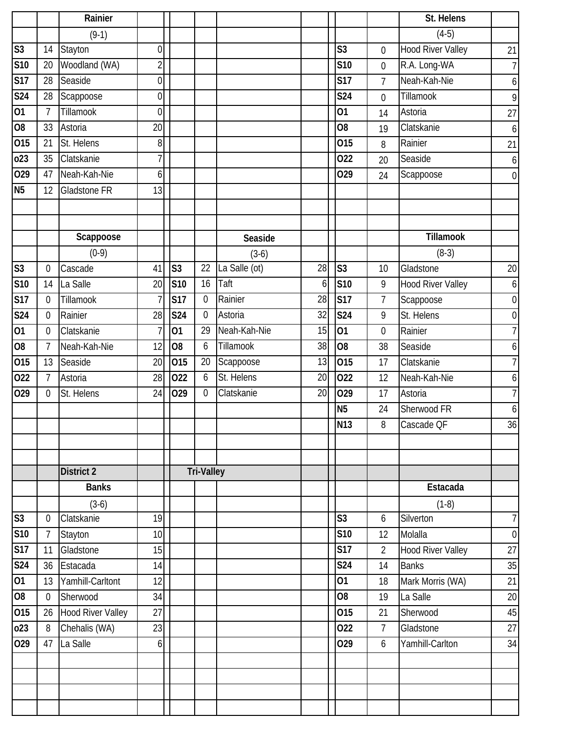|                        |                  | Rainier                  |                  |                |                   |               |                 |                 |                  | St. Helens               |                  |
|------------------------|------------------|--------------------------|------------------|----------------|-------------------|---------------|-----------------|-----------------|------------------|--------------------------|------------------|
|                        |                  | $(9-1)$                  |                  |                |                   |               |                 |                 |                  | $(4-5)$                  |                  |
| $\overline{\text{S}3}$ | 14               | Stayton                  | $\overline{0}$   |                |                   |               |                 | S <sub>3</sub>  | $\mathbf 0$      | <b>Hood River Valley</b> | 21               |
| S10                    | 20               | Woodland (WA)            | $\overline{2}$   |                |                   |               |                 | <b>S10</b>      | $\mathbf 0$      | R.A. Long-WA             | $\overline{7}$   |
| S17                    | 28               | Seaside                  | $\overline{0}$   |                |                   |               |                 | <b>S17</b>      | $\overline{7}$   | Neah-Kah-Nie             | $\boldsymbol{6}$ |
| <b>S24</b>             | 28               | Scappoose                | $\overline{0}$   |                |                   |               |                 | <b>S24</b>      | 0                | Tillamook                | 9                |
| $ 01\rangle$           | $\overline{7}$   | Tillamook                | $\overline{0}$   |                |                   |               |                 | 01              | 14               | Astoria                  | 27               |
| 08                     | 33               | Astoria                  | 20               |                |                   |               |                 | O <sub>8</sub>  | 19               | Clatskanie               | 6                |
| 015                    | 21               | St. Helens               | 8                |                |                   |               |                 | 015             | 8                | Rainier                  | 21               |
| 023                    | 35               | Clatskanie               |                  |                |                   |               |                 | 022             | 20               | Seaside                  | 6                |
| 029                    | 47               | Neah-Kah-Nie             | 6                |                |                   |               |                 | 029             | 24               | Scappoose                | $\boldsymbol{0}$ |
| N <sub>5</sub>         | 12               | <b>Gladstone FR</b>      | 13               |                |                   |               |                 |                 |                  |                          |                  |
|                        |                  |                          |                  |                |                   |               |                 |                 |                  |                          |                  |
|                        |                  |                          |                  |                |                   |               |                 |                 |                  |                          |                  |
|                        |                  | Scappoose                |                  |                |                   | Seaside       |                 |                 |                  | Tillamook                |                  |
|                        |                  | $(0-9)$                  |                  |                |                   | $(3-6)$       |                 |                 |                  | $(8-3)$                  |                  |
| S <sub>3</sub>         | $\boldsymbol{0}$ | Cascade                  | 41               | S <sub>3</sub> | 22                | La Salle (ot) | 28              | S <sub>3</sub>  | 10               | Gladstone                | 20               |
| S <sub>10</sub>        | 14               | La Salle                 | 20               | <b>S10</b>     | 16                | Taft          | 6               | S <sub>10</sub> | 9                | Hood River Valley        | $\boldsymbol{6}$ |
| S17                    | $\overline{0}$   | Tillamook                | 7                | <b>S17</b>     | $\mathbf{0}$      | Rainier       | 28              | <b>S17</b>      | $\overline{7}$   | Scappoose                | $\boldsymbol{0}$ |
| <b>S24</b>             | $\boldsymbol{0}$ | Rainier                  | 28               | <b>S24</b>     | $\mathbf 0$       | Astoria       | 32              | <b>S24</b>      | 9                | St. Helens               | $\boldsymbol{0}$ |
| 01                     | $\mathbf 0$      | Clatskanie               |                  | 01             | 29                | Neah-Kah-Nie  | 15              | 01              | $\boldsymbol{0}$ | Rainier                  | $\overline{7}$   |
| 08                     | $\overline{7}$   | Neah-Kah-Nie             | 12               | O <sub>8</sub> | 6                 | Tillamook     | 38              | $\overline{80}$ | 38               | Seaside                  | 6                |
| 015                    | 13               | Seaside                  | 20               | 015            | 20                | Scappoose     | $\overline{13}$ | 015             | 17               | Clatskanie               | $\overline{7}$   |
| 022                    | $\overline{7}$   | Astoria                  | 28               | 022            | 6                 | St. Helens    | 20              | 022             | 12               | Neah-Kah-Nie             | 6                |
| 029                    | $\theta$         | St. Helens               | 24               | 029            | $\mathbf 0$       | Clatskanie    | 20              | 029             | 17               | Astoria                  | $\overline{7}$   |
|                        |                  |                          |                  |                |                   |               |                 | N <sub>5</sub>  | 24               | Sherwood FR              | $\boldsymbol{6}$ |
|                        |                  |                          |                  |                |                   |               |                 | N <sub>13</sub> | 8                | Cascade QF               | 36               |
|                        |                  |                          |                  |                |                   |               |                 |                 |                  |                          |                  |
|                        |                  |                          |                  |                |                   |               |                 |                 |                  |                          |                  |
|                        |                  | <b>District 2</b>        |                  |                | <b>Tri-Valley</b> |               |                 |                 |                  |                          |                  |
|                        |                  | <b>Banks</b>             |                  |                |                   |               |                 |                 |                  | Estacada                 |                  |
|                        |                  | $(3-6)$                  |                  |                |                   |               |                 |                 |                  | $(1-8)$                  |                  |
| $\overline{\text{S}3}$ | $\boldsymbol{0}$ | Clatskanie               | 19               |                |                   |               |                 | S <sub>3</sub>  | 6                | Silverton                | $\overline{7}$   |
| <b>S10</b>             | $\overline{7}$   | Stayton                  | 10               |                |                   |               |                 | <b>S10</b>      | 12               | Molalla                  | $\overline{0}$   |
| S17                    | 11               | Gladstone                | 15               |                |                   |               |                 | <b>S17</b>      | $\overline{2}$   | <b>Hood River Valley</b> | 27               |
| S <sub>24</sub>        | 36               | Estacada                 | 14               |                |                   |               |                 | <b>S24</b>      | 14               | <b>Banks</b>             | 35               |
| $\overline{01}$        | 13               | Yamhill-Carltont         | 12               |                |                   |               |                 | 01              | 18               | Mark Morris (WA)         | 21               |
| $\overline{80}$        | $\boldsymbol{0}$ | Sherwood                 | 34               |                |                   |               |                 | O <sub>8</sub>  | 19               | La Salle                 | 20               |
| 015                    | 26               | <b>Hood River Valley</b> | 27               |                |                   |               |                 | 015             | 21               | Sherwood                 | 45               |
| 023                    | 8                | Chehalis (WA)            | 23               |                |                   |               |                 | 022             | $7\overline{ }$  | Gladstone                | 27               |
| $\overline{0}$ 29      | 47               | La Salle                 | $6 \overline{6}$ |                |                   |               |                 | 029             | 6                | Yamhill-Carlton          | 34               |
|                        |                  |                          |                  |                |                   |               |                 |                 |                  |                          |                  |
|                        |                  |                          |                  |                |                   |               |                 |                 |                  |                          |                  |
|                        |                  |                          |                  |                |                   |               |                 |                 |                  |                          |                  |
|                        |                  |                          |                  |                |                   |               |                 |                 |                  |                          |                  |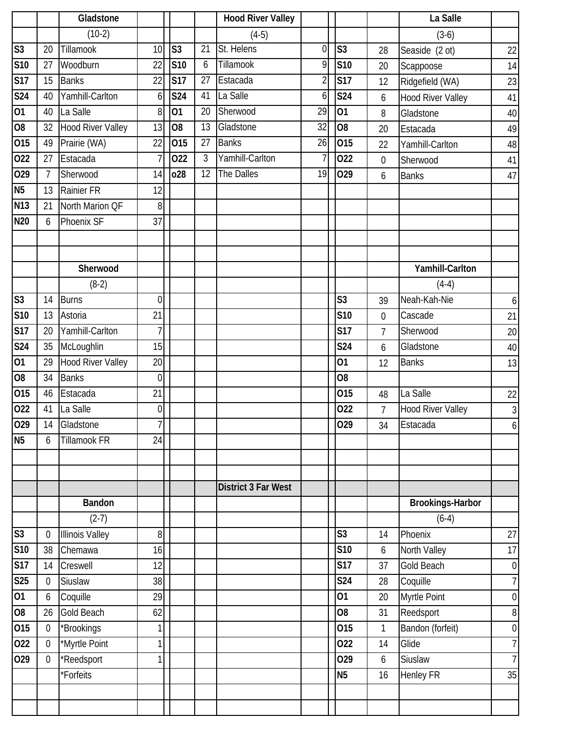|                        |                | Gladstone                |                |                |                | <b>Hood River Valley</b> |                 |                  |                  | La Salle                 |                  |
|------------------------|----------------|--------------------------|----------------|----------------|----------------|--------------------------|-----------------|------------------|------------------|--------------------------|------------------|
|                        |                | $(10-2)$                 |                |                |                | $(4-5)$                  |                 |                  |                  | $(3-6)$                  |                  |
| $\overline{\text{S3}}$ | 20             | Tillamook                | 10             | S <sub>3</sub> | 21             | St. Helens               | $\overline{0}$  | S <sub>3</sub>   | 28               | Seaside (2 ot)           | 22               |
| <b>S10</b>             | 27             | Woodburn                 | 22             | <b>S10</b>     | 6              | Tillamook                | 9               | S <sub>10</sub>  | 20               | Scappoose                | 14               |
| <b>S17</b>             | 15             | <b>Banks</b>             | 22             | <b>S17</b>     | 27             | Estacada                 | $\overline{2}$  | <b>S17</b>       | 12               | Ridgefield (WA)          | 23               |
| <b>S24</b>             | 40             | Yamhill-Carlton          | 6              | <b>S24</b>     | 41             | La Salle                 | 6               | <b>S24</b>       | 6                | <b>Hood River Valley</b> | 41               |
| 01                     | 40             | La Salle                 | 8              | 01             | 20             | Sherwood                 | 29              | 01               | 8                | Gladstone                | 40               |
| O <sub>8</sub>         | 32             | <b>Hood River Valley</b> | 13             | O <sub>8</sub> | 13             | Gladstone                | $\overline{32}$ | $\overline{08}$  | 20               | Estacada                 | 49               |
| 015                    | 49             | Prairie (WA)             | 22             | 015            | 27             | <b>Banks</b>             | 26              | 015              | 22               | Yamhill-Carlton          | 48               |
| 022                    | 27             | Estacada                 |                | 022            | $\mathfrak{Z}$ | Yamhill-Carlton          | 7               | 022              | $\boldsymbol{0}$ | Sherwood                 | 41               |
| 029                    | $\overline{7}$ | Sherwood                 | 14             | 028            | 12             | The Dalles               | 19              | 029              | 6                | <b>Banks</b>             | 47               |
| N <sub>5</sub>         | 13             | Rainier FR               | 12             |                |                |                          |                 |                  |                  |                          |                  |
| <b>N13</b>             | 21             | North Marion QF          | 8              |                |                |                          |                 |                  |                  |                          |                  |
| <b>N20</b>             | 6              | Phoenix SF               | 37             |                |                |                          |                 |                  |                  |                          |                  |
|                        |                |                          |                |                |                |                          |                 |                  |                  |                          |                  |
|                        |                |                          |                |                |                |                          |                 |                  |                  |                          |                  |
|                        |                | Sherwood                 |                |                |                |                          |                 |                  |                  | Yamhill-Carlton          |                  |
|                        |                | $(8-2)$                  |                |                |                |                          |                 |                  |                  | $(4-4)$                  |                  |
| S <sub>3</sub>         | 14             | <b>Burns</b>             | $\overline{0}$ |                |                |                          |                 | S <sub>3</sub>   | 39               | Neah-Kah-Nie             | $\boldsymbol{6}$ |
| <b>S10</b>             | 13             | Astoria                  | 21             |                |                |                          |                 | $\overline{S}10$ | $\overline{0}$   | Cascade                  | 21               |
| S17                    | 20             | Yamhill-Carlton          | 7              |                |                |                          |                 | <b>S17</b>       | $\overline{7}$   | Sherwood                 | 20               |
| <b>S24</b>             | 35             | McLoughlin               | 15             |                |                |                          |                 | <b>S24</b>       | 6                | Gladstone                | 40               |
| 01                     | 29             | <b>Hood River Valley</b> | 20             |                |                |                          |                 | 01               | 12               | <b>Banks</b>             | 13               |
| O <sub>8</sub>         | 34             | <b>Banks</b>             | $\mathbf 0$    |                |                |                          |                 | O <sub>8</sub>   |                  |                          |                  |
| 015                    | 46             | Estacada                 | 21             |                |                |                          |                 | 015              | 48               | La Salle                 | 22               |
| 022                    | 41             | La Salle                 | $\overline{0}$ |                |                |                          |                 | 022              | $\overline{7}$   | <b>Hood River Valley</b> | 3                |
| 029                    | 14             | Gladstone                | $\overline{7}$ |                |                |                          |                 | 029              | 34               | Estacada                 | $\overline{6}$   |
| <b>N5</b>              | 6              | Tillamook FR             | 24             |                |                |                          |                 |                  |                  |                          |                  |
|                        |                |                          |                |                |                |                          |                 |                  |                  |                          |                  |
|                        |                |                          |                |                |                | District 3 Far West      |                 |                  |                  |                          |                  |
|                        |                | <b>Bandon</b>            |                |                |                |                          |                 |                  |                  | <b>Brookings-Harbor</b>  |                  |
|                        |                | $(2-7)$                  |                |                |                |                          |                 |                  |                  | $(6-4)$                  |                  |
| S <sub>3</sub>         | $\mathbf 0$    | <b>Illinois Valley</b>   | 8              |                |                |                          |                 | S <sub>3</sub>   | 14               | Phoenix                  | 27               |
| S10                    | 38             | Chemawa                  | 16             |                |                |                          |                 | S <sub>10</sub>  | 6                | North Valley             | 17               |
| S17                    | 14             | Creswell                 | 12             |                |                |                          |                 | <b>S17</b>       | 37               | Gold Beach               | $\overline{0}$   |
| <b>S25</b>             | $\overline{0}$ | Siuslaw                  | 38             |                |                |                          |                 | <b>S24</b>       | 28               | Coquille                 | 7                |
| $ 01\rangle$           | 6              | Coquille                 | 29             |                |                |                          |                 | 01               | 20               | Myrtle Point             | $\overline{0}$   |
| O <sub>8</sub>         | 26             | Gold Beach               | 62             |                |                |                          |                 | O <sub>8</sub>   | 31               | Reedsport                | $\boldsymbol{8}$ |
| 015                    | $\mathbf 0$    | *Brookings               |                |                |                |                          |                 | 015              | 1                | Bandon (forfeit)         | $\boldsymbol{0}$ |
| 022                    | $\overline{0}$ | *Myrtle Point            |                |                |                |                          |                 | 022              | 14               | Glide                    | 7                |
| 029                    | $\overline{0}$ | *Reedsport               |                |                |                |                          |                 | 029              | 6                | Siuslaw                  | 7                |
|                        |                | *Forfeits                |                |                |                |                          |                 | N <sub>5</sub>   | 16               | Henley FR                | 35               |
|                        |                |                          |                |                |                |                          |                 |                  |                  |                          |                  |
|                        |                |                          |                |                |                |                          |                 |                  |                  |                          |                  |
|                        |                |                          |                |                |                |                          |                 |                  |                  |                          |                  |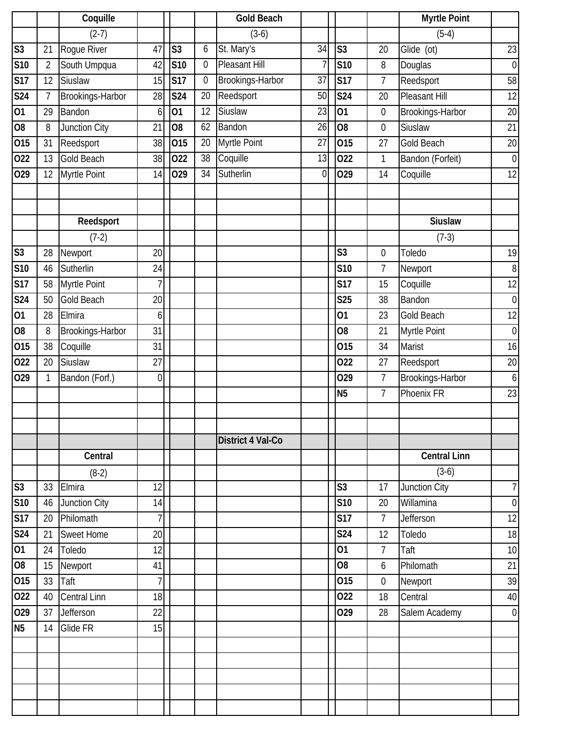|                |                | Coquille            |                |                |                  | <b>Gold Beach</b> |                |                 |                  | <b>Myrtle Point</b>  |                  |
|----------------|----------------|---------------------|----------------|----------------|------------------|-------------------|----------------|-----------------|------------------|----------------------|------------------|
|                |                | $(2-7)$             |                |                |                  | $(3-6)$           |                |                 |                  | $(5-4)$              |                  |
| S <sub>3</sub> | 21             | Rogue River         | 47             | S <sub>3</sub> | 6                | St. Mary's        | 34             | S <sub>3</sub>  | 20               | Glide (ot)           | 23               |
| <b>S10</b>     | $\overline{2}$ | South Umpqua        | 42             | <b>S10</b>     | $\boldsymbol{0}$ | Pleasant Hill     | 7              | S <sub>10</sub> | 8                | Douglas              | $\overline{0}$   |
| <b>S17</b>     | 12             | Siuslaw             | 15             | <b>S17</b>     | $\mathbf 0$      | Brookings-Harbor  | 37             | S17             | $\overline{7}$   | Reedsport            | 58               |
| S24            | 7              | Brookings-Harbor    | 28             | S24            | 20               | Reedsport         | 50             | <b>S24</b>      | 20               | Pleasant Hill        | 12               |
| 01             | 29             | Bandon              | 6              | 01             | 12               | Siuslaw           | 23             | $\overline{01}$ | $\boldsymbol{0}$ | Brookings-Harbor     | 20               |
| O <sub>8</sub> | 8              | Junction City       | 21             | O <sub>8</sub> | 62               | Bandon            | 26             | $\overline{60}$ | $\boldsymbol{0}$ | Siuslaw              | 21               |
| 015            | 31             | Reedsport           | 38             | 015            | 20               | Myrtle Point      | 27             | 015             | 27               | Gold Beach           | $20\,$           |
| 022            | 13             | <b>Gold Beach</b>   | 38             | 022            | 38               | Coquille          | 13             | 022             | $\mathbf{1}$     | Bandon (Forfeit)     | $\boldsymbol{0}$ |
| 029            | 12             | Myrtle Point        | 14             | 029            | 34               | Sutherlin         | $\overline{0}$ | 029             | 14               | Coquille             | 12               |
|                |                |                     |                |                |                  |                   |                |                 |                  |                      |                  |
|                |                |                     |                |                |                  |                   |                |                 |                  |                      |                  |
|                |                | Reedsport           |                |                |                  |                   |                |                 |                  | <b>Siuslaw</b>       |                  |
|                |                | $(7-2)$             |                |                |                  |                   |                |                 |                  | $(7-3)$              |                  |
| S <sub>3</sub> | 28             | Newport             | 20             |                |                  |                   |                | S <sub>3</sub>  | $\boldsymbol{0}$ | Toledo               | 19               |
| <b>S10</b>     | 46             | Sutherlin           | 24             |                |                  |                   |                | <b>S10</b>      | $\overline{7}$   | Newport              | $\, 8$           |
| <b>S17</b>     | 58             | Myrtle Point        | 7              |                |                  |                   |                | <b>S17</b>      | 15               | Coquille             | 12               |
| <b>S24</b>     | 50             | Gold Beach          | 20             |                |                  |                   |                | <b>S25</b>      | 38               | Bandon               | $\overline{0}$   |
| 01             | 28             | Elmira              | 6              |                |                  |                   |                | 01              | 23               | <b>Gold Beach</b>    | 12               |
| O <sub>8</sub> | 8              | Brookings-Harbor    | 31             |                |                  |                   |                | O <sub>8</sub>  | 21               | Myrtle Point         | $\overline{0}$   |
| 015            | 38             | Coquille            | 31             |                |                  |                   |                | 015             | 34               | Marist               | 16               |
| 022            | 20             | Siuslaw             | 27             |                |                  |                   |                | 022             | 27               | Reedsport            | 20               |
| 029            | 1              | Bandon (Forf.)      | $\overline{0}$ |                |                  |                   |                | 029             | $\overline{7}$   | Brookings-Harbor     | $\boldsymbol{6}$ |
|                |                |                     |                |                |                  |                   |                | N <sub>5</sub>  | $\overline{7}$   | Phoenix FR           | 23               |
|                |                |                     |                |                |                  |                   |                |                 |                  |                      |                  |
|                |                |                     |                |                |                  |                   |                |                 |                  |                      |                  |
|                |                |                     |                |                |                  | District 4 Val-Co |                |                 |                  |                      |                  |
|                |                | Central             |                |                |                  |                   |                |                 |                  | <b>Central Linn</b>  |                  |
|                |                | $(8-2)$             |                |                |                  |                   |                |                 |                  | $(3-6)$              |                  |
| S <sub>3</sub> | 33             | Elmira              | 12             |                |                  |                   |                | S <sub>3</sub>  | 17               | <b>Junction City</b> | $\overline{7}$   |
| <b>S10</b>     | 46             | Junction City       | 14             |                |                  |                   |                | S <sub>10</sub> | 20               | Willamina            | $\overline{0}$   |
| <b>S17</b>     | 20             | Philomath           | $\overline{1}$ |                |                  |                   |                | <b>S17</b>      | 7 <sup>1</sup>   | Jefferson            | 12               |
| <b>S24</b>     | 21             | <b>Sweet Home</b>   | 20             |                |                  |                   |                | S24             | 12               | Toledo               | 18               |
| 01             | 24             | Toledo              | 12             |                |                  |                   |                | 01              | $\overline{7}$   | Taft                 | 10               |
| O <sub>8</sub> | 15             | Newport             | 41             |                |                  |                   |                | O <sub>8</sub>  | 6                | Philomath            | 21               |
| 015            | 33             | Taft                | $\overline{1}$ |                |                  |                   |                | 015             | $\overline{0}$   | Newport              | 39               |
| 022            | 40             | <b>Central Linn</b> | 18             |                |                  |                   |                | 022             | 18               | Central              | 40               |
| 029            | 37             | Jefferson           | 22             |                |                  |                   |                | 029             | 28               | Salem Academy        | $\overline{0}$   |
| N <sub>5</sub> | 14             | Glide FR            | 15             |                |                  |                   |                |                 |                  |                      |                  |
|                |                |                     |                |                |                  |                   |                |                 |                  |                      |                  |
|                |                |                     |                |                |                  |                   |                |                 |                  |                      |                  |
|                |                |                     |                |                |                  |                   |                |                 |                  |                      |                  |
|                |                |                     |                |                |                  |                   |                |                 |                  |                      |                  |
|                |                |                     |                |                |                  |                   |                |                 |                  |                      |                  |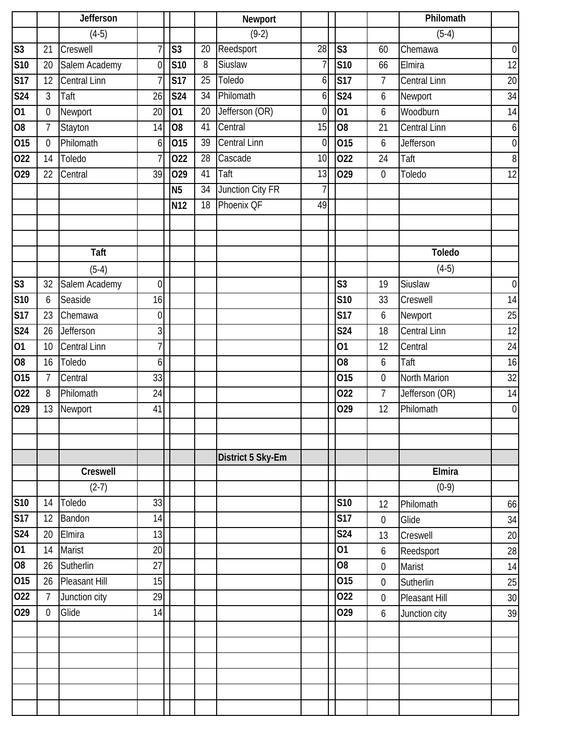|                 |                | Jefferson           |                |                |    | Newport             |                 |                 |                  | Philomath           |                  |
|-----------------|----------------|---------------------|----------------|----------------|----|---------------------|-----------------|-----------------|------------------|---------------------|------------------|
|                 |                | $(4-5)$             |                |                |    | $(9-2)$             |                 |                 |                  | $(5-4)$             |                  |
| S <sub>3</sub>  | 21             | Creswell            |                | S <sub>3</sub> | 20 | Reedsport           | 28              | S <sub>3</sub>  | 60               | Chemawa             | $\boldsymbol{0}$ |
| <b>S10</b>      | 20             | Salem Academy       | $\overline{0}$ | <b>S10</b>     | 8  | Siuslaw             | 7               | S10             | 66               | Elmira              | 12               |
| <b>S17</b>      | 12             | Central Linn        |                | <b>S17</b>     | 25 | Toledo              | $\overline{6}$  | <b>S17</b>      | $7\overline{ }$  | <b>Central Linn</b> | 20               |
| <b>S24</b>      | 3              | Taft                | 26             | <b>S24</b>     | 34 | Philomath           | $\overline{6}$  | <b>S24</b>      | 6                | Newport             | 34               |
| 01              | $\mathbf 0$    | Newport             | 20             | 01             | 20 | Jefferson (OR)      | $\overline{0}$  | 01              | 6                | Woodburn            | 14               |
| O <sub>8</sub>  | $\overline{7}$ | Stayton             | 14             | O <sub>8</sub> | 41 | Central             | $\overline{15}$ | $\overline{08}$ | 21               | <b>Central Linn</b> | $\boldsymbol{6}$ |
| 015             | $\overline{0}$ | Philomath           | 6              | 015            | 39 | <b>Central Linn</b> | $\overline{0}$  | 015             | $\boldsymbol{6}$ | Jefferson           | $\boldsymbol{0}$ |
| 022             | 14             | Toledo              | 7              | 022            | 28 | Cascade             | 10              | 022             | 24               | Taft                | $\, 8$           |
| 029             | 22             | Central             | 39             | 029            | 41 | Taft                | 13              | 029             | $\boldsymbol{0}$ | Toledo              | 12               |
|                 |                |                     |                | <b>N5</b>      | 34 | Junction City FR    | $\overline{1}$  |                 |                  |                     |                  |
|                 |                |                     |                | N12            | 18 | Phoenix QF          | 49              |                 |                  |                     |                  |
|                 |                |                     |                |                |    |                     |                 |                 |                  |                     |                  |
|                 |                |                     |                |                |    |                     |                 |                 |                  |                     |                  |
|                 |                | Taft                |                |                |    |                     |                 |                 |                  | <b>Toledo</b>       |                  |
|                 |                | $(5-4)$             |                |                |    |                     |                 |                 |                  | $(4-5)$             |                  |
| S <sub>3</sub>  | 32             | Salem Academy       | $\overline{0}$ |                |    |                     |                 | S <sub>3</sub>  | 19               | Siuslaw             | $\boldsymbol{0}$ |
| S <sub>10</sub> | 6              | Seaside             | 16             |                |    |                     |                 | S10             | 33               | Creswell            | 14               |
| <b>S17</b>      | 23             | Chemawa             | $\mathbf 0$    |                |    |                     |                 | <b>S17</b>      | 6                | Newport             | 25               |
| S24             | 26             | Jefferson           | $\overline{3}$ |                |    |                     |                 | <b>S24</b>      | 18               | <b>Central Linn</b> | 12               |
| 01              | 10             | <b>Central Linn</b> | 7              |                |    |                     |                 | 01              | 12               | Central             | 24               |
| O <sub>8</sub>  | 16             | Toledo              | 6              |                |    |                     |                 | O <sub>8</sub>  | 6                | Taft                | 16               |
| 015             | $\overline{7}$ | Central             | 33             |                |    |                     |                 | 015             | $\mathbf 0$      | North Marion        | 32               |
| 022             | 8              | Philomath           | 24             |                |    |                     |                 | 022             | $\overline{7}$   | Jefferson (OR)      | 14               |
| 029             | 13             | Newport             | 41             |                |    |                     |                 | 029             | 12               | Philomath           | $\boldsymbol{0}$ |
|                 |                |                     |                |                |    |                     |                 |                 |                  |                     |                  |
|                 |                |                     |                |                |    |                     |                 |                 |                  |                     |                  |
|                 |                |                     |                |                |    | District 5 Sky-Em   |                 |                 |                  |                     |                  |
|                 |                | Creswell            |                |                |    |                     |                 |                 |                  | Elmira              |                  |
|                 |                | $(2-7)$             |                |                |    |                     |                 |                 |                  | $(0-9)$             |                  |
| <b>S10</b>      | 14             | Toledo              | 33             |                |    |                     |                 | S <sub>10</sub> | 12               | Philomath           | 66               |
| <b>S17</b>      | 12             | Bandon              | 14             |                |    |                     |                 | <b>S17</b>      | $\mathbf 0$      | Glide               | 34               |
| <b>S24</b>      | 20             | Elmira              | 13             |                |    |                     |                 | S24             | 13               | Creswell            | 20               |
| 01              | 14             | <b>Marist</b>       | 20             |                |    |                     |                 | 01              | 6                | Reedsport           | 28               |
| O <sub>8</sub>  | 26             | Sutherlin           | 27             |                |    |                     |                 | O <sub>8</sub>  | $\mathbf 0$      | Marist              | 14               |
| 015             | 26             | Pleasant Hill       | 15             |                |    |                     |                 | 015             | $\mathbf 0$      | Sutherlin           | 25               |
| 022             | $\overline{7}$ | Junction city       | 29             |                |    |                     |                 | 022             | $\mathbf 0$      | Pleasant Hill       | 30               |
| 029             | $\overline{0}$ | Glide               | 14             |                |    |                     |                 | 029             | 6                | Junction city       | 39               |
|                 |                |                     |                |                |    |                     |                 |                 |                  |                     |                  |
|                 |                |                     |                |                |    |                     |                 |                 |                  |                     |                  |
|                 |                |                     |                |                |    |                     |                 |                 |                  |                     |                  |
|                 |                |                     |                |                |    |                     |                 |                 |                  |                     |                  |
|                 |                |                     |                |                |    |                     |                 |                 |                  |                     |                  |
|                 |                |                     |                |                |    |                     |                 |                 |                  |                     |                  |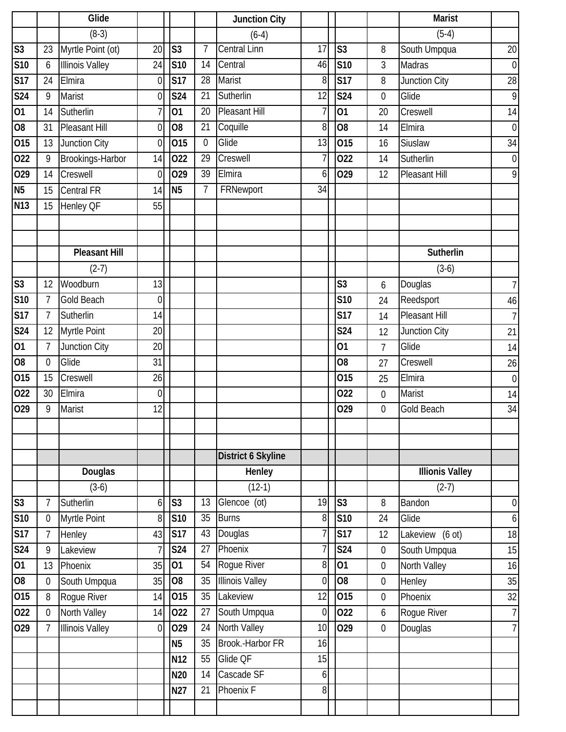|                               |                | Glide                                  |                      |                          |                | <b>Junction City</b>      |             |                         |                                 | <b>Marist</b>                |                  |
|-------------------------------|----------------|----------------------------------------|----------------------|--------------------------|----------------|---------------------------|-------------|-------------------------|---------------------------------|------------------------------|------------------|
|                               |                | $(8-3)$                                |                      |                          |                | $(6-4)$                   |             |                         |                                 | $(5-4)$                      |                  |
| S <sub>3</sub>                | 23             | Myrtle Point (ot)                      | 20                   | S <sub>3</sub>           | $\overline{1}$ | <b>Central Linn</b>       | 17          | $\overline{\text{S3}}$  | 8                               | South Umpqua                 | 20               |
| S <sub>10</sub>               | 6              | <b>Illinois Valley</b>                 | 24                   | <b>S10</b>               | 14             | Central                   | 46          | $\overline{\text{S10}}$ | $\overline{3}$                  | <b>Madras</b>                | $\boldsymbol{0}$ |
| <b>S17</b>                    | 24             | Elmira                                 | 0                    | <b>S17</b>               | 28             | Marist                    | 8           | <b>S17</b>              | 8                               | Junction City                | 28               |
| <b>S24</b>                    | 9              | Marist                                 | 0                    | <b>S24</b>               | 21             | Sutherlin                 | 12          | <b>S24</b>              | $\mathbf 0$                     | Glide                        | 9                |
| $\overline{01}$               | 14             | Sutherlin                              |                      | 01                       | 20             | <b>Pleasant Hill</b>      | 7           | $\overline{01}$         | 20                              | Creswell                     | 14               |
| O <sub>8</sub>                | 31             | <b>Pleasant Hill</b>                   | $\overline{0}$       | O <sub>8</sub>           | 21             | Coquille                  | 8           | $\overline{08}$         | 14                              | Elmira                       | $\boldsymbol{0}$ |
| 015                           | 13             | Junction City                          | $\overline{0}$       | 015                      | $\mathbf 0$    | Glide                     | 13          | 015                     | 16                              | Siuslaw                      | 34               |
| 022                           | 9              | Brookings-Harbor                       | 14                   | 022                      | 29             | Creswell                  | 7           | 022                     | 14                              | Sutherlin                    | $\boldsymbol{0}$ |
| 029                           | 14             | Creswell                               | $\Omega$             | 029                      | 39             | Elmira                    | 6           | 029                     | 12                              | Pleasant Hill                | 9                |
| <b>N5</b>                     | 15             | Central FR                             | 14                   | N <sub>5</sub>           | $\overline{7}$ | FRNewport                 | 34          |                         |                                 |                              |                  |
| <b>N13</b>                    | 15             | Henley QF                              | 55                   |                          |                |                           |             |                         |                                 |                              |                  |
|                               |                |                                        |                      |                          |                |                           |             |                         |                                 |                              |                  |
|                               |                |                                        |                      |                          |                |                           |             |                         |                                 |                              |                  |
|                               |                | <b>Pleasant Hill</b>                   |                      |                          |                |                           |             |                         |                                 | Sutherlin                    |                  |
|                               |                | $(2-7)$                                |                      |                          |                |                           |             |                         |                                 | $(3-6)$                      |                  |
| S <sub>3</sub>                | 12             | Woodburn                               | 13                   |                          |                |                           |             | $\overline{\text{S3}}$  | 6                               | Douglas                      | 7                |
| <b>S10</b>                    | $\overline{7}$ | <b>Gold Beach</b>                      | $\overline{0}$       |                          |                |                           |             | S <sub>10</sub>         | 24                              | Reedsport                    | 46               |
| <b>S17</b>                    | $\overline{7}$ | Sutherlin                              | 14                   |                          |                |                           |             | <b>S17</b>              | 14                              | Pleasant Hill                | $\overline{7}$   |
| S24                           | 12             | Myrtle Point                           | 20                   |                          |                |                           |             | <b>S24</b>              | 12                              | Junction City                | 21               |
| 01                            | $\overline{7}$ | Junction City                          | 20                   |                          |                |                           |             | 01                      | $\overline{7}$                  | Glide                        | 14               |
| O <sub>8</sub>                | $\theta$       | Glide                                  | 31                   |                          |                |                           |             | O <sub>8</sub>          | 27                              | Creswell                     | 26               |
| 015                           | 15             | Creswell                               | 26                   |                          |                |                           |             | 015                     | 25                              | Elmira                       | $\boldsymbol{0}$ |
| 022                           | 30             | Elmira                                 | $\overline{0}$       |                          |                |                           |             | 022                     | $\mathbf 0$                     | <b>Marist</b>                | 14               |
| 029                           | 9              | Marist                                 | 12                   |                          |                |                           |             | 029                     | $\mathbf 0$                     | <b>Gold Beach</b>            | 34               |
|                               |                |                                        |                      |                          |                |                           |             |                         |                                 |                              |                  |
|                               |                |                                        |                      |                          |                |                           |             |                         |                                 |                              |                  |
|                               |                |                                        |                      |                          |                | <b>District 6 Skyline</b> |             |                         |                                 |                              |                  |
|                               |                | Douglas                                |                      |                          |                | Henley                    |             |                         |                                 | <b>Illionis Valley</b>       |                  |
|                               |                | $(3-6)$                                |                      |                          |                | $(12-1)$                  |             |                         |                                 | $(2-7)$                      |                  |
| $\overline{\text{S3}}$        | $\overline{7}$ | Sutherlin                              | 6                    | S <sub>3</sub>           | 13             | Glencoe (ot)              | 19          | $\overline{\text{S3}}$  | 8                               | Bandon                       | $\boldsymbol{0}$ |
| <b>S10</b>                    | $\mathbf 0$    | Myrtle Point                           | 8                    | <b>S10</b>               | 35             | <b>Burns</b>              | 8<br>7      | S10<br><b>S17</b>       | 24                              | Glide                        | $\boldsymbol{6}$ |
| <b>S17</b><br>S <sub>24</sub> | $\overline{7}$ | Henley                                 | 43                   | <b>S17</b><br><b>S24</b> | 43<br>27       | Douglas<br>Phoenix        | 7           | <b>S24</b>              | 12                              | Lakeview (6 ot)              | 18               |
| 01                            | 9<br>13        | Lakeview<br>Phoenix                    | 35                   | $\overline{01}$          | 54             | Rogue River               | 8           | $\overline{01}$         | $\boldsymbol{0}$<br>$\mathbf 0$ | South Umpqua<br>North Valley | 15<br>16         |
| O <sub>8</sub>                | $\mathbf 0$    | South Umpqua                           | 35                   | O <sub>8</sub>           | 35             | <b>Illinois Valley</b>    | $\mathbf 0$ | $\overline{80}$         | $\boldsymbol{0}$                |                              | 35               |
| 015                           | 8              | Rogue River                            | 14                   | 015                      | 35             | Lakeview                  | 12          | 015                     | $\boldsymbol{0}$                | Henley<br>Phoenix            | 32               |
| 022                           | $\mathbf 0$    |                                        |                      | 022                      | 27             | South Umpqua              | $\mathbf 0$ | 022                     |                                 |                              | 7                |
| 029                           | $\overline{7}$ | North Valley<br><b>Illinois Valley</b> | 14<br>$\overline{0}$ | 029                      | 24             | North Valley              | 10          | 029                     | 6<br>$\boldsymbol{0}$           | Rogue River<br>Douglas       | 7                |
|                               |                |                                        |                      | N <sub>5</sub>           | 35             | Brook.-Harbor FR          | 16          |                         |                                 |                              |                  |
|                               |                |                                        |                      | N <sub>12</sub>          | 55             | Glide QF                  | 15          |                         |                                 |                              |                  |
|                               |                |                                        |                      | N20                      | 14             | Cascade SF                | 6           |                         |                                 |                              |                  |
|                               |                |                                        |                      | N27                      | 21             | Phoenix F                 | 8           |                         |                                 |                              |                  |
|                               |                |                                        |                      |                          |                |                           |             |                         |                                 |                              |                  |
|                               |                |                                        |                      |                          |                |                           |             |                         |                                 |                              |                  |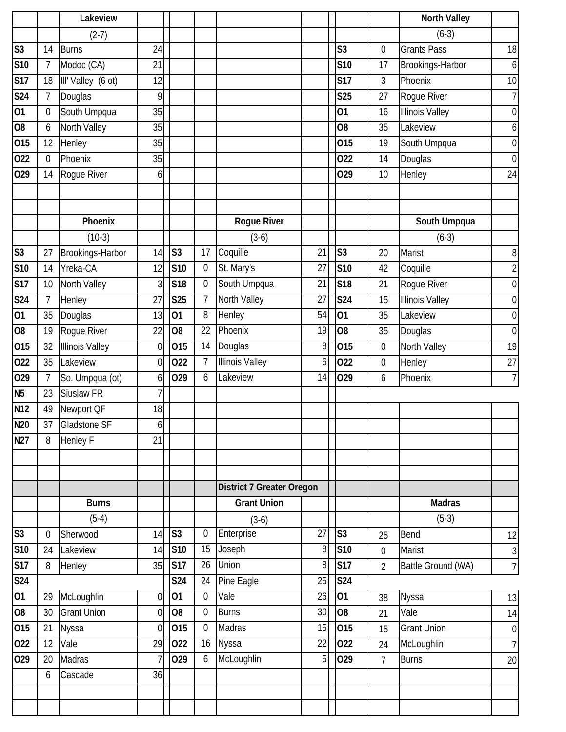|                 |                | Lakeview               |                |                |                  |                                  |                |                 |                  | <b>North Valley</b>    |                  |
|-----------------|----------------|------------------------|----------------|----------------|------------------|----------------------------------|----------------|-----------------|------------------|------------------------|------------------|
|                 |                | $(2-7)$                |                |                |                  |                                  |                |                 |                  | $(6-3)$                |                  |
| S <sub>3</sub>  | 14             | <b>Burns</b>           | 24             |                |                  |                                  |                | S <sub>3</sub>  | $\mathbf 0$      | <b>Grants Pass</b>     | 18               |
| <b>S10</b>      | 7              | Modoc (CA)             | 21             |                |                  |                                  |                | <b>S10</b>      | 17               | Brookings-Harbor       | $\boldsymbol{6}$ |
| <b>S17</b>      | 18             | III' Valley (6 ot)     | 12             |                |                  |                                  |                | <b>S17</b>      | $\mathfrak{Z}$   | Phoenix                | 10               |
| <b>S24</b>      | 7              | Douglas                | 9              |                |                  |                                  |                | <b>S25</b>      | 27               | Rogue River            | $\overline{1}$   |
| 01              | $\overline{0}$ | South Umpqua           | 35             |                |                  |                                  |                | 01              | 16               | <b>Illinois Valley</b> | $\boldsymbol{0}$ |
| O <sub>8</sub>  | 6              | North Valley           | 35             |                |                  |                                  |                | O <sub>8</sub>  | 35               | Lakeview               | 6                |
| 015             | 12             | Henley                 | 35             |                |                  |                                  |                | 015             | 19               | South Umpqua           | $\boldsymbol{0}$ |
| 022             | $\Omega$       | Phoenix                | 35             |                |                  |                                  |                | 022             | 14               | Douglas                | $\boldsymbol{0}$ |
| 029             | 14             | Rogue River            | $6 \mid$       |                |                  |                                  |                | 029             | 10               | Henley                 | 24               |
|                 |                |                        |                |                |                  |                                  |                |                 |                  |                        |                  |
|                 |                |                        |                |                |                  |                                  |                |                 |                  |                        |                  |
|                 |                | Phoenix                |                |                |                  | <b>Rogue River</b>               |                |                 |                  | South Umpqua           |                  |
|                 |                | $(10-3)$               |                |                |                  | $(3-6)$                          |                |                 |                  | $(6-3)$                |                  |
| S <sub>3</sub>  | 27             | Brookings-Harbor       | 14             | S <sub>3</sub> | 17               | Coquille                         | 21             | S <sub>3</sub>  | 20               | Marist                 | 8                |
| <b>S10</b>      | 14             | Yreka-CA               | 12             | <b>S10</b>     | $\boldsymbol{0}$ | St. Mary's                       | 27             | S <sub>10</sub> | 42               | Coquille               | $\overline{2}$   |
| <b>S17</b>      | 10             | North Valley           | 3              | <b>S18</b>     | $\mathbf 0$      | South Umpqua                     | 21             | S18             | 21               | Rogue River            | $\boldsymbol{0}$ |
| <b>S24</b>      | $\overline{7}$ | Henley                 | 27             | <b>S25</b>     | $\overline{7}$   | North Valley                     | 27             | <b>S24</b>      | 15               | <b>Illinois Valley</b> | $\boldsymbol{0}$ |
| 01              | 35             | Douglas                | 13             | 01             | 8                | Henley                           | 54             | 01              | 35               | Lakeview               | $\boldsymbol{0}$ |
| O <sub>8</sub>  | 19             | Rogue River            | 22             | O <sub>8</sub> | 22               | Phoenix                          | 19             | O <sub>8</sub>  | 35               | Douglas                | $\overline{0}$   |
| 015             | 32             | <b>Illinois Valley</b> | $\overline{0}$ | 015            | 14               | Douglas                          | 8              | 015             | $\boldsymbol{0}$ | North Valley           | 19               |
| 022             | 35             | Lakeview               | $\overline{0}$ | 022            | $\overline{7}$   | <b>Illinois Valley</b>           | 6              | 022             | $\boldsymbol{0}$ | Henley                 | 27               |
| 029             | $\overline{7}$ | So. Umpqua (ot)        | 6              | 029            | 6                | Lakeview                         | 14             | 029             | 6                | Phoenix                | $\overline{7}$   |
| N <sub>5</sub>  | 23             | Siuslaw FR             | 7              |                |                  |                                  |                |                 |                  |                        |                  |
| N <sub>12</sub> | 49             | Newport QF             | 18             |                |                  |                                  |                |                 |                  |                        |                  |
| <b>N20</b>      | 37             | Gladstone SF           | 6 <sup>1</sup> |                |                  |                                  |                |                 |                  |                        |                  |
| <b>N27</b>      | 8              | <b>Henley F</b>        | 21             |                |                  |                                  |                |                 |                  |                        |                  |
|                 |                |                        |                |                |                  |                                  |                |                 |                  |                        |                  |
|                 |                |                        |                |                |                  |                                  |                |                 |                  |                        |                  |
|                 |                |                        |                |                |                  | <b>District 7 Greater Oregon</b> |                |                 |                  |                        |                  |
|                 |                | <b>Burns</b>           |                |                |                  | <b>Grant Union</b>               |                |                 |                  | <b>Madras</b>          |                  |
|                 |                | $(5-4)$                |                |                |                  | $(3-6)$                          |                |                 |                  | $(5-3)$                |                  |
| S <sub>3</sub>  | $\theta$       | Sherwood               | 14             | S <sub>3</sub> | $\overline{0}$   | Enterprise                       | 27             | S <sub>3</sub>  | 25               | Bend                   | 12               |
| S10             | 24             | Lakeview               | 14             | S10            | $\overline{15}$  | Joseph                           | $\overline{8}$ | S10             | $\overline{0}$   | Marist                 | 3                |
| <b>S17</b>      | 8              | Henley                 | 35             | <b>S17</b>     | 26               | Union                            | $\overline{8}$ | S17             | $\overline{2}$   | Battle Ground (WA)     | 7                |
| S24             |                |                        |                | S24            | 24               | Pine Eagle                       | 25             | <b>S24</b>      |                  |                        |                  |
| 01              | 29             | McLoughlin             | $\overline{0}$ | 01             | $\mathbf 0$      | Vale                             | 26             | 01              | 38               | Nyssa                  | 13               |
| O <sub>8</sub>  | 30             | <b>Grant Union</b>     | $\overline{0}$ | O <sub>8</sub> | $\mathbf 0$      | <b>Burns</b>                     | 30             | 08              | 21               | Vale                   | 14               |
| 015             | 21             | Nyssa                  | $\overline{0}$ | 015            | $\mathbf 0$      | <b>Madras</b>                    | 15             | 015             | 15               | <b>Grant Union</b>     | $\overline{0}$   |
| 022             | 12             | Vale                   | 29             | 022            | 16               | Nyssa                            | 22             | 022             | 24               | McLoughlin             | $\overline{7}$   |
| 029             | 20             | Madras                 |                | 029            | 6                | McLoughlin                       | 5 <sub>l</sub> | 029             | $\overline{7}$   | <b>Burns</b>           | 20               |
|                 | 6              | Cascade                | 36             |                |                  |                                  |                |                 |                  |                        |                  |
|                 |                |                        |                |                |                  |                                  |                |                 |                  |                        |                  |
|                 |                |                        |                |                |                  |                                  |                |                 |                  |                        |                  |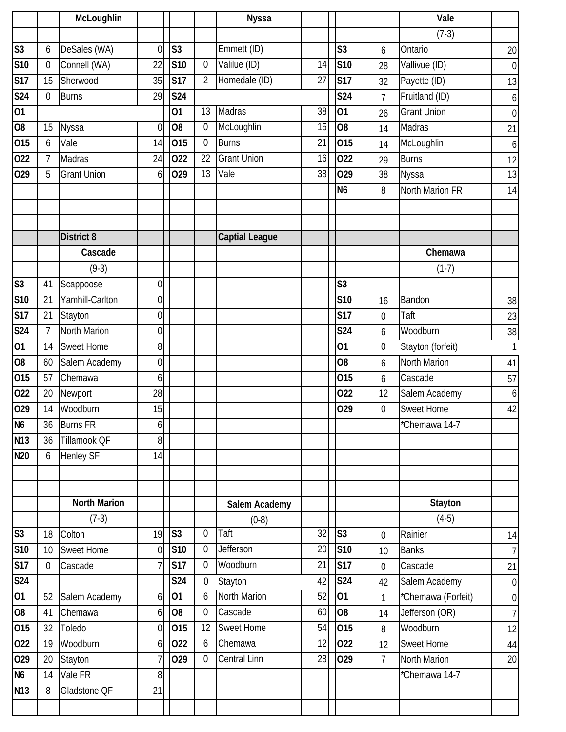|                           |                  | McLoughlin          |                |                         |                  | <b>Nyssa</b>          |    |                 |                  | Vale               |                  |
|---------------------------|------------------|---------------------|----------------|-------------------------|------------------|-----------------------|----|-----------------|------------------|--------------------|------------------|
|                           |                  |                     |                |                         |                  |                       |    |                 |                  | $(7-3)$            |                  |
| $\overline{\text{S}3}$    | 6                | DeSales (WA)        | $\Omega$       | S <sub>3</sub>          |                  | Emmett (ID)           |    | S <sub>3</sub>  | 6                | Ontario            | 20               |
| S <sub>10</sub>           | $\theta$         | Connell (WA)        | 22             | <b>S10</b>              | $\overline{0}$   | Valilue (ID)          | 14 | <b>S10</b>      | 28               | Vallivue (ID)      | $\boldsymbol{0}$ |
| <b>S17</b>                | 15               | Sherwood            | 35             | <b>S17</b>              | $\overline{2}$   | Homedale (ID)         | 27 | <b>S17</b>      | 32               | Payette (ID)       | 13               |
| S <sub>24</sub>           | $\boldsymbol{0}$ | <b>Burns</b>        | 29             | <b>S24</b>              |                  |                       |    | <b>S24</b>      | $\overline{7}$   | Fruitland (ID)     | $\boldsymbol{6}$ |
| 01                        |                  |                     |                | 01                      | 13               | Madras                | 38 | $\overline{01}$ | 26               | <b>Grant Union</b> | $\boldsymbol{0}$ |
| 08                        | 15               | Nyssa               | $\mathbf 0$    | O <sub>8</sub>          | $\mathbf{0}$     | McLoughlin            | 15 | $\overline{08}$ | 14               | Madras             | 21               |
| 015                       | 6                | Vale                | 14             | 015                     | $\mathbf{0}$     | <b>Burns</b>          | 21 | 015             | 14               | McLoughlin         | 6                |
| 022                       | $\overline{7}$   | Madras              | 24             | 022                     | 22               | <b>Grant Union</b>    | 16 | 022             | 29               | <b>Burns</b>       | 12               |
| 029                       | 5                | <b>Grant Union</b>  | 6              | 029                     | 13               | Vale                  | 38 | 029             | 38               | Nyssa              | 13               |
|                           |                  |                     |                |                         |                  |                       |    | N <sub>6</sub>  | 8                | North Marion FR    | 14               |
|                           |                  |                     |                |                         |                  |                       |    |                 |                  |                    |                  |
|                           |                  |                     |                |                         |                  |                       |    |                 |                  |                    |                  |
|                           |                  | <b>District 8</b>   |                |                         |                  | <b>Captial League</b> |    |                 |                  |                    |                  |
|                           |                  | Cascade             |                |                         |                  |                       |    |                 |                  | Chemawa            |                  |
|                           |                  | $(9-3)$             |                |                         |                  |                       |    |                 |                  | $(1-7)$            |                  |
| $\overline{\text{S3}}$    | 41               | Scappoose           | $\overline{0}$ |                         |                  |                       |    | S <sub>3</sub>  |                  |                    |                  |
| S <sub>10</sub>           | 21               | Yamhill-Carlton     | $\overline{0}$ |                         |                  |                       |    | <b>S10</b>      | 16               | Bandon             | 38               |
| S17                       | 21               | Stayton             | $\overline{0}$ |                         |                  |                       |    | <b>S17</b>      | $\mathbf 0$      | Taft               | 23               |
| S <sub>24</sub>           | $\overline{7}$   | North Marion        | $\overline{0}$ |                         |                  |                       |    | <b>S24</b>      | 6                | Woodburn           | 38               |
| 01                        | 14               | <b>Sweet Home</b>   | 8              |                         |                  |                       |    | 01              | $\boldsymbol{0}$ | Stayton (forfeit)  | 1                |
| $\overline{08}$           | 60               | Salem Academy       | $\overline{0}$ |                         |                  |                       |    | O <sub>8</sub>  | 6                | North Marion       | 41               |
| 015                       | 57               | Chemawa             | 6              |                         |                  |                       |    | 015             | 6                | Cascade            | 57               |
| 022                       | 20               | Newport             | 28             |                         |                  |                       |    | 022             | 12               | Salem Academy      | 6                |
| 029                       | 14               | Woodburn            | 15             |                         |                  |                       |    | 029             | $\mathbf 0$      | <b>Sweet Home</b>  | 42               |
| N <sub>6</sub>            | 36               | <b>Burns FR</b>     | 6 <sup>1</sup> |                         |                  |                       |    |                 |                  | *Chemawa 14-7      |                  |
| <b>N13</b>                | 36               | Tillamook QF        | 8              |                         |                  |                       |    |                 |                  |                    |                  |
| $\overline{\mathsf{N}}20$ | 6                | <b>Henley SF</b>    | 14             |                         |                  |                       |    |                 |                  |                    |                  |
|                           |                  |                     |                |                         |                  |                       |    |                 |                  |                    |                  |
|                           |                  |                     |                |                         |                  |                       |    |                 |                  |                    |                  |
|                           |                  | <b>North Marion</b> |                |                         |                  | Salem Academy         |    |                 |                  | Stayton            |                  |
|                           |                  | $(7-3)$             |                |                         |                  | $(0-8)$               |    |                 |                  | $(4-5)$            |                  |
| S <sub>3</sub>            | 18               | Colton              | 19             | S <sub>3</sub>          | $\mathbf{0}$     | Taft                  | 32 | S <sub>3</sub>  | $\mathbf 0$      | Rainier            | 14               |
| S10                       | 10               | <b>Sweet Home</b>   | $\overline{0}$ | $\overline{\text{S}10}$ | 0                | Jefferson             | 20 | S10             | 10 <sup>1</sup>  | <b>Banks</b>       | $\overline{7}$   |
| S17                       | $\overline{0}$   | Cascade             |                | <b>S17</b>              | $\mathbf 0$      | Woodburn              | 21 | S17             | $\mathbf 0$      | Cascade            | 21               |
| S <sub>24</sub>           |                  |                     |                | <b>S24</b>              | $\boldsymbol{0}$ | Stayton               | 42 | <b>S24</b>      | 42               | Salem Academy      | $\overline{0}$   |
| $\overline{01}$           | 52               | Salem Academy       | 6              | 01                      | 6                | North Marion          | 52 | 01              | $\mathbf{1}$     | *Chemawa (Forfeit) | $\overline{0}$   |
| O <sub>8</sub>            | 41               | Chemawa             | 6              | O <sub>8</sub>          | $\mathbf 0$      | Cascade               | 60 | O <sub>8</sub>  | 14               | Jefferson (OR)     | 7 <sup>1</sup>   |
| 015                       | 32               | Toledo              | $\theta$       | 015                     | 12               | <b>Sweet Home</b>     | 54 | 015             | 8                | Woodburn           | 12               |
| $\overline{O}22$          | 19               | Woodburn            | $6 \mid$       | 022                     | 6                | Chemawa               | 12 | 022             | 12               | Sweet Home         | 44               |
| 029                       | 20               | Stayton             |                | 029                     | $\overline{0}$   | <b>Central Linn</b>   | 28 | 029             | $\overline{7}$   | North Marion       | 20               |
| N <sub>6</sub>            | 14               | Vale FR             | 8              |                         |                  |                       |    |                 |                  | *Chemawa 14-7      |                  |
| <b>N13</b>                | 8                | Gladstone QF        | 21             |                         |                  |                       |    |                 |                  |                    |                  |
|                           |                  |                     |                |                         |                  |                       |    |                 |                  |                    |                  |